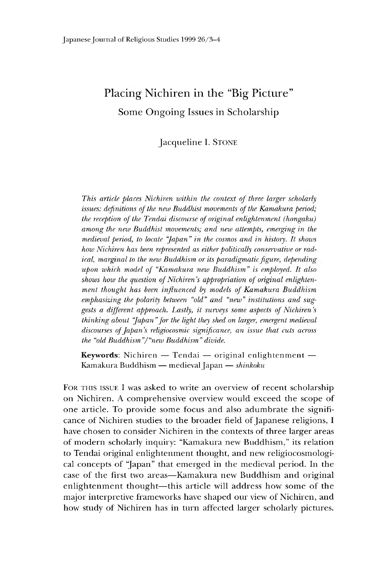# Placing Nichiren in the "Big Picture" Some Ongoing Issues in Scholarship

## Jacqueline I. STONE

*This article places Nichiren within the context of three larger scholarly issues: definitions of the new Buddhist movements of the Kamakura period; the reception of the Tendai discourse of original enlightenment (hongaku) among the new Buddhist movements; and new attempts, emerging in the medieval period, to locate "Japan* " *in the cosmos and in history. It shows* how Nichiren has been represented as either politically conservative or rad*ical, marginal to the new Buddhism or its paradigmatic figure, depending upon which model of "Kamakura new Buddhism" is employed. It also* shows how the question of Nichiren's appropriation of original enlighten*ment thought has been influenced by models of Kamakura Buddnism* emphasizing the polarity between "old" and "new" institutions and suggests a different approach. Lastly, it surveys some aspects of Nichiren's *thinking- about "Japan " for the light they shed on larger, emergent medieval discourses of Japan's religiocosmic significance, an issue that cuts across the "old Buddhism,,/ "new Buddhism* " *divide.*

Keywords: Nichiren — Tendai — original enlightenment — Kamakura Buddhism — medieval Japan — *shinkoku*

For this issue I was asked to write an overview of recent scholarship on Nichiren. A comprehensive overview would exceed the scope of one article. To provide some focus and also adumbrate the significance of Nichiren studies to the broader field of Japanese religions, I have chosen to consider Nichiren in the contexts of three larger areas of modern scholarly inquiry: "Kamakura new Buddhism," its relation to Tendai original enlightenment thought, and new religiocosmological concepts of "Japan" that emerged in the medieval period. In the case of the first two areas—Kamakura new Buddhism and original enlightenment thought— this article will address how some of the major interpretive frameworks have shaped our view of Nichiren, and how study of Nichiren has in turn affected larger scholarly pictures.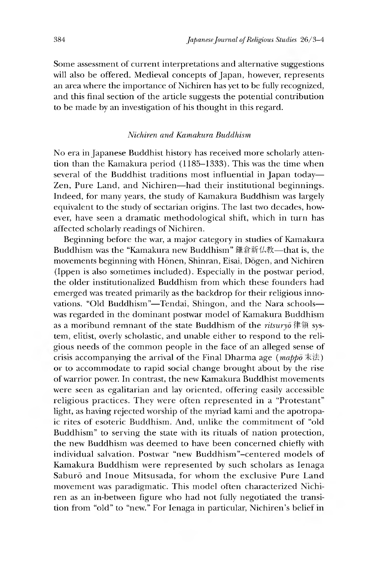Some assessment of current interpretations and alternative suggestions will also be offered. Medieval concepts of Japan, however, represents an area where the importance of Nichiren has yet to be fully recognized, and this final section of the article suggests the potential contribution to be made by an investigation of his thought in this regard.

## *Nichiren and Kamakura Buddhism*

No era in Japanese Buddhist history has received more scholarly attention than the Kamakura period (1185-1333). This was the time when several of the Buddhist traditions most influential in Japan today— Zen, Pure Land, and Nichiren—had their institutional beginnings. Indeed, for many years, the study of Kamakura Buddhism was largely equivalent to the study of sectarian origins. The last two decades, however, have seen a dramatic methodological shift, which in turn has affected scholarly readings of Nichiren.

Beginning before the war, a major category in studies of Kamakura Buddhism was the "Kamakura new Buddhism" 鎌倉新仏教–that is, the movements beginning with Honen, Shinran, Eisai, Dogen, and Nichiren (Ippen is also sometimes included). Especially in the postwar period, the older institutionalized Buddhism from which these founders had emerged was treated primarily as the backdrop for their religious innovations. "Old Buddhism"—Tendai, Shingon, and the Nara schools was regarded in the dominant postwar model of Kamakura Buddhism as a moribund remnant of the state Buddhism of the *ritsuryo* 律領 system, elitist, overly scholastic, and unable either to respond to the religious needs of the common people in the face of an alleged sense of crisis accompanyine the arrival of the Final Dharma age *(mappo* 末伝) or to accommodate to rapid social change brought about by the rise of warrior power. In contrast, the new Kamakura Buddhist movements were seen as egalitarian and lay oriented, offering easily accessible religious practices. They were often represented in a "Protestant" light, as having rejected worship of the myriad kami and the apotropaic rites of esoteric Buddhism. And, unlike the commitment of "old Buddhism" to serving the state with its rituals of nation protection, the new Buddhism was deemed to have been concerned chiefly with individual salvation. Postwar "new Buddhism"-centered models of Kamakura Buddhism were represented by such scholars as Ienaga Saburo and Inoue Mitsusada, for whom the exclusive Pure Land movement was paradigmatic. This model often characterized Nichiren as an in-between figure who had not fully negotiated the transition from "old" to "new." For Ienaga in particular, Nichiren's belief in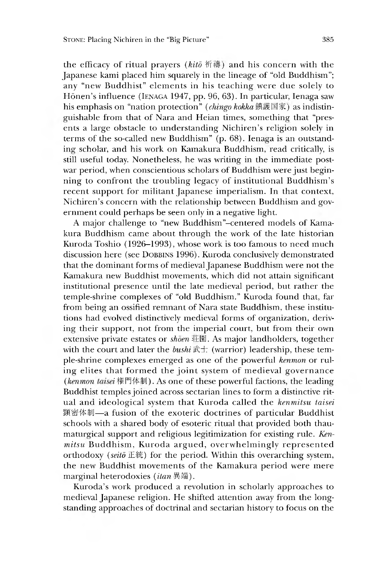the efficacy of ritual prayers *(kito* 祈禱) and his concern with the Japanese kami placed him squarely in the lineage of "old Buddhism"; any "new Buddhist" elements in his teaching were due solely to Hōnen's influence (IENAGA 1947, pp. 96, 63). In particular, Ienaga saw his emphasis on "nation protection" (*chingo kokka*鎮護国家) as indistinguishable from that of Nara and Heian times, something that "presents a large obstacle to understanding Nichiren's religion solely in terms of the so-called new Buddhism" (p. 68). Ienaga is an outstanding scholar, and his work on Kamakura Buddhism, read critically, is still useful today. Nonetheless, he was writing in the immediate postwar period, when conscientious scholars of Buddhism were just beginning to confront the troubling legacy of institutional Buddhism's recent support for militant Japanese imperialism. In that context, Nichiren's concern with the relationship between Buddhism and government could perhaps be seen only in a negative light.

A major challenge to "new Buddhism"-centered models of Kamakura Buddhism came about through the work of the late historian Kuroda Toshio (1926–1993), whose work is too famous to need much discussion here (see DOBBINS 1996). Kuroda conclusively demonstrated that the dominant forms of medieval Japanese Buddhism were not the Kamakura new Buddhist movements, which did not attain significant institutional presence until the late medieval period, but rather the temple-shrine complexes of "old Buddhism." Kuroda found that, far from being an ossified remnant of Nara state Buddhism, these institutions had evolved distinctively medieval forms of organization, deriving their support, not from the imperial court, but from their own extensive private estates or *shoen* 壮園. As major landholders, together with the court and later the *bushi* 武士 (warrior) leadership, these temple-shrine complexes emerged as one of the powerful *kenmon* or ruling elites that formed the joint system of medieval governance (kenmon taisei権門体制). As one of these powerful factions, the leading Buddhist temples joined across sectarian lines to form a distinctive ritual ana ideological system that Kuroda called the *kenmitsu taisei* 顕密体制—a fusion of the exoteric doctrines of particular Buddhist schools with a shared body of esoteric ritual that provided both thaumatureical support and religious legitimization for existing rule. *Kenmitsu* Buddhism, Kuroda argued, overwhelmingly represented orthodoxy *(seitō* 正統) for the period. Within this overarching system, the new Buddhist movements of the Kamakura period were mere marginal heterodoxies *(itan* 異端).

Kuroda's work produced a revolution in scholarly approaches to medieval Japanese religion. He shifted attention away from the longstanding approaches of doctrinal and sectarian history to focus on the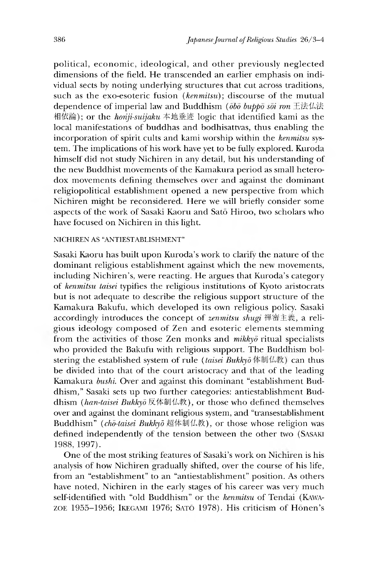political, economic, ideological, and other previously neglected dimensions of the field. He transcended an earlier emphasis on individual sects by noting underlying structures that cut across traditions, such as the exo-esoteric fusion *{kenmitsu))* discourse of the mutual dependence of imperial law and Buddhism *(obo buppo soi ron* 王法仏法 相依論);or the *honji-suijaku* 本地垂迹logic that identified kami as the local manifestations of buddhas and bodhisattvas, thus enabling the incorporation of spirit cults and kami worship within the *kenmitsu* system. The implications of his work have yet to be fully explored. Kuroda himself did not study Nichiren in any detail, but his understanding of the new Buddhist movements of the Kamakura period as small heterodox movements defining themselves over and against the dominant religiopolitical establishment opened a new perspective from which Nichiren might be reconsidered. Here we will briefly consider some aspects of the work of Sasaki Kaoru and Satō Hiroo, two scholars who have focused on Nichiren in this light.

## NICHIREN AS "ANTIESTABLISHMENT"

Sasaki Kaoru has built upon Kuroda's work to clarify the nature of the dominant religious establishment against which the new movements, including Nichiren's, were reacting. He argues that Kuroda's category of *kenmitsu taisei* typifies the religious institutions of Kyoto aristocrats but is not adequate to describe the religious support structure of the Kamakura Bakufu, which developed its own religious policy. Sasaki accordingly introduces the concept of *zenmitsu shugi* 禅密王義,a religious ideology composed of Zen and esoteric elements stemming from the activities of those Zen monks and *mikkyd* ritual specialists who provided the Bakufu with religious support. The Buddhism bolstering the established system of rule (taisei Bukkyō 体制仏教) can thus be divided into that of the court aristocracy and that of the leading Kamakura *bushi*. Over and against this dominant "establishment Buddhism," Sasaki sets up two further categories: antiestablishment Buddhism (han-taisei Bukkyō 反体制仏教), or those who defined themselves over and against the dominant religious system, and "transestablishment Buddhism<sup>"</sup> (*chō-taisei Bukkyō* 超体制仏教), or those whose religion was defined independently of the tension between the other two (Sasaki 1988 1997).

One of the most striking features of Sasaki's work on Nichiren is his analysis of how Nichiren gradually shifted, over the course of his life, from an "establishment" to an "antiestablishment" position. As others have noted, Nichiren in the early stages of his career was very much self-identified with "old Buddhism" or the *kenmitsu* of Tendai (KAWAzoe 1955-1956; Ikegami 1976; Sato 1978). His criticism of Honen's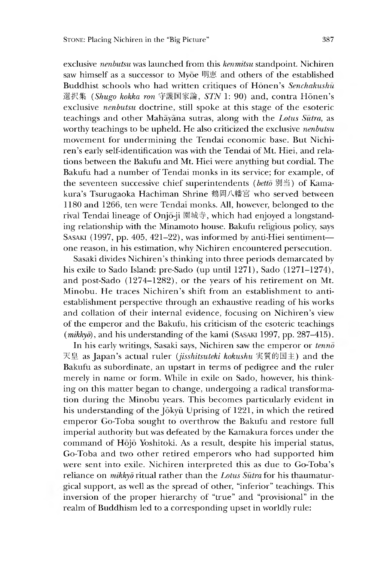exclusive *nenbutsu* was launched from this *kenmitsu* standpoint. Nichiren saw himself as a successor to Myoe 明恵 and others of the established Buddhist schools who had written critiques of Hōnen's *Senchakushū* 選択集 *(Shugo kokka ron* 守護国家論, STN 1: 90) and, contra Hōnen's exclusive *nenbutsu* doctrine, still spoke at this stage of the esoteric teachings and other Mahayana sutras, along with the *Lotus Sutra,* as worthy teachings to be upheld. He also criticized the exclusive *nenbutsu* movement for undermining the Tendai economic base. But Nicmren's early self-identification was with the Tendai of Mt. Hiei, and relations between the Bakufu and Mt. Hiei were anything but cordial. The Bakufu had a number of Tendai monks in its service; for example, of the seventeen successive chief superintendents *(betto* 別当) of Kamakura's Tsurugaoka Hachiman Shrine 鶴岡八幡宮 who served between 1180 and 1266, ten were Tendai monks. All, however, belonged to the rival Tendai lineage of Onjo-ji 園城寺,which had enjoyed a longstanding relationship with the Minamoto house. Bakufu religious policy, says SASAKI (1997, pp. 405, 421-22), was informed by anti-Hiei sentimentone reason, in his estimation,why Nichiren encountered persecution.

Sasaki divides Nichiren's thinKing into three periods demarcated by his exile to Sado Island: pre-Sado (up until 1271), Sado (1271-1274), and post-Sado (1274-1282), or the years of his retirement on Mt. Minobu. He traces Nichiren's shift from an establishment to antiestablishment perspective through an exhaustive reading of his works and collation of their internal evidence, focusing on Nichiren's view of the emperor and the Bakufu, his criticism of the esoteric teachings *(mikkyo)*, and his understanding of the kami *(SASAKI 1997, pp. 287–415)*.

In his early writings, Sasaki says, Nichiren saw the emperor or *tenno* 天皇 as Japan's actual ruler *{jisshitsuteki kokushu* 実質的国主)and the Bakufu as subordinate, an upstart in terms of pedigree and the ruler merely in name or form. While in exile on Sado, however, his thinking on this matter began to change, undergoing a radical transformation during the Minobu years. This becomes particularly evident in his understanding of the Jokyu Uprising of 1221, in which the retired emperor Go-Toba sought to overthrow the Bakufu and restore full imperial authority but was defeated by the Kamakura forces under the command of Hojo Yoshitoki. As a result, despite his imperial status, Go-Toba and two other retired emperors who had supported him were sent into exile. Nichiren interpreted this as due to Go-Toba's reliance on *mikkyd* ritual rather than the *Lotus Sutra* for his thaumaturgical support, as well as the spread of other, "inferior" teachings. This inversion of the proper hierarchy of "true" and "provisional" in the realm of Buddhism led to a corresponding upset in worldly rule: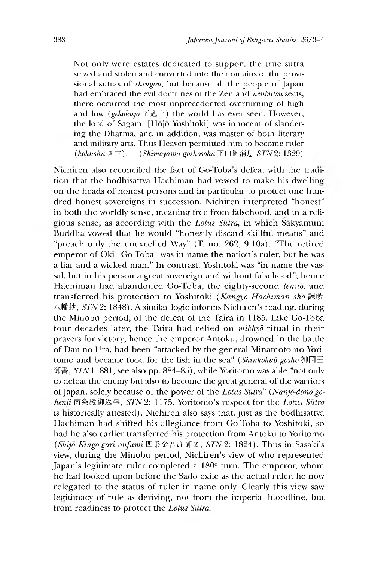Not only were estates dedicated to support the true sutra seized and stolen and converted into the domains of the provisional sutras of *shingon,* but because all the people of Japan had embraced the evil doctrines of the Zen and *nenbutsu* sects, there occurred the most unprecedented overturning of high and low *(gekokujo* 下剋上) the world has ever seen. However, the lord of Sagami [Hōjō Yoshitoki] was innocent of slandering the Dharma, and in addition, was master of both literary and military arts. Thus Heaven permitted him to become ruler *(kokushu* 国主). *(Shimoyama goshdsoku* 下山御消息 *STN* 2:1329)

Nichiren also reconciled the fact of Go-Toba's defeat with the tradition that the bodhisattva Hachiman had vowed to make his dwelling on the heads of honest persons and in particular to protect one hundred honest sovereigns in succession. Nichiren interpreted "honest" in both the worldly sense, meaning free from falsehood, and in a relieious sense, as according with the *Lotus Sutra,* in which Sakyamuni Buddha vowed that he would "honestly discard skillful means" and "preach only the unexcelled Way" (T. no. 262, 9.10a). "The retired emperor of Oki [Go-Toba] was in name the nation's ruler, but he was a liar and a wicked man." In contrast, Yoshitoki was "in name the vassal, but in his person a great sovereign and without falsehood"; hence Hachiman had abandoned Go-Toba, the eighty-second *tenno*, and transferred his protection to Yoshitoki (Kangyō Hachiman shō 諌暁 八幡抄, *STN* 2: 1848). A similar logic informs Nichiren's reading, during the Minobu period, of the defeat of the Taira in 1185. Like Go-Toba four decades later, the Taira had relied on *mikkyd* ritual in their prayers for victory; hence the emperor Antoku, drowned in the battle of Dan-no-Ura, had been "attacked by the general Minamoto no Yoritomo and became food for the fish in the sea" (Shinkokuō gosho 神国王 御書, STN1: 881; see also pp. 884–85), while Yoritomo was able "not only to defeat the enemy but also to become the great general of the warriors of Japan, solely because of the power of the *Lotus Sutra" (Nanjo-dono gohenji* 南条殿御返事, STN 2: 1175. Yoritomo's respect for the *Lotus Sutra* is historically attested). Nichiren also says that, just as the bodhisattva Hachiman had shifted his allegiance from Go-Toba to Yoshitoki, so had he also earlier transferred his protection from Antoku to Yoritomo *(Shijō Kingo-gari onfumi* 四条金吾許御文, STN 2: 1824). Thus in Sasaki's view, during the Minobu period, Nichiren's view of who represented Japan's legitimate ruler completed a 180° turn. The emperor, whom he had looked upon before the Sado exile as the actual ruler, he now relegated to the status of ruler in name only. Clearly this view saw legitimacy of rule as deriving, not from the imperial bloodline, but from readiness to protect the *Lotus Sutra.*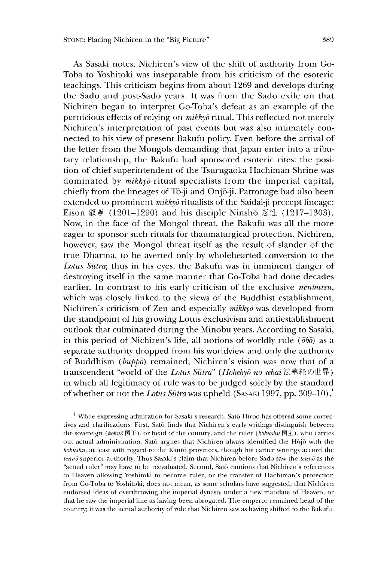As Sasaki notes, Nichiren's view of the shift of authority from Go-Toba to Yoshitoki was inseparable from his criticism of the esoteric teachings. This criticism begins from about 1269 and develops during the Sado and post-Sado years. It was from the Sado exile on that Nichiren began to interpret Go-Toba's defeat as an example of the pernicious effects of relying on *mikkyd* ritual. This reflected not merely Nichiren's interpretation of past events but was also intimately connected to his view of present Bakufu policy. Even before the arrival of the letter from the Mongols demanding that Japan enter into a tributary relationship, the Bakufu had sponsored esoteric rites: the position of chief superintendent of the Tsurugaoka Hachiman Shrine was dominated by *mikkyd* ritual specialists from the imperial capital, chiefly from the lineages of To-ji and Onjo-ji. Patronage had also been extended to prominent *mikkyd* ritualists of the Saidai-ji precept lineage: Eison 叡尊 (1201-1290) and his disciple Ninsho 忍性 (1217-1303). Now, in the face of the Mongol threat, the Bakufu was all the more eaeer to sponsor such rituals for thaumaturgical protection. Nichiren, however, saw the Mongol threat itself as the result of slander of the true Dharma, to be averted only by wholehearted conversion to the *Lotus Sutra\* thus in his eyes, the Bakufu was in imminent danger of destroying itself in the same manner that Go-Toba had done decades earlier. In contrast to his early criticism of the exclusive *nenbutsu,* which was closely linked to the views of the Buddhist establishment, Nichiren's criticism of Zen and especially *mikkyd* was developed from the standpoint of his growing Lotus exclusivism and antiestablishment outlook that culminated during the Minobu years. According to Sasaki, in this period of Nichiren's life, all notions of worldly rule *(obo)* as a separate authority dropped from his worldview and only the authority of Buddhism (*buppo)* remained; Nichiren's vision was now that of a transcendent "world of the *Lotus Sutra" (Hokekyd no sekai* 法華経の世界) in which all legitimacy of rule was to be judged solely by the standard of whether or not the *Lotus Sutra* was upheld (SASAKI 1997, pp. 309–10).

<sup>1</sup> While expressing admiration for Sasaki's research, Satō Hiroo has offered some correctives and clarifications. First, Sato finds that Nichiren's early writings distinguish between the sovereign *(kokuō* 国王), or head of the country, and the ruler *(kokushu* 国主), who carries out actual administration. Sato argues that Nichiren always identified the Hojo with the *kokushu*, at least with regard to the Kantō provinces, though his earlier writings accord the *tenno* superior authority. Thus Sasaki's claim that Nichiren before Sado saw the *tenno* as the "actual ruler" may have to be reevaluated. Second, Sato cautions that Nichiren's references to Heaven allowing Yoshitoki to become ruler, or the transfer of Hachiman's protection from Go-Toba to Yoshitoki, does not mean, as some scholars have suggested, that Nichiren endorsed ideas of overthrowing the imperial dynasty under a new mandate of Heaven, or that he saw the imperial line as having been abrogated. The emperor remained head of the country; it was the actual authority of rule that Nichiren saw as having shifted to the Bakufu.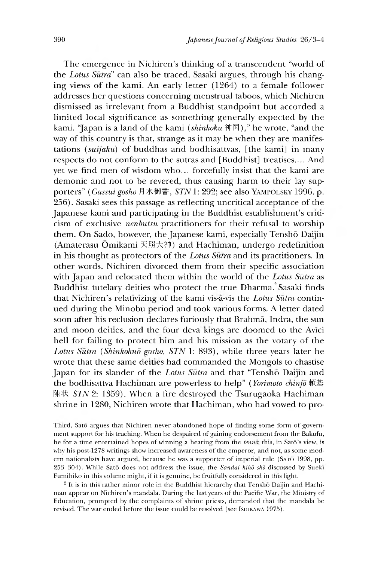The emergence in Nichiren's thinking of a transcendent "world of the *Lotus Sutra"* can also be traced, Sasaki argues, through his changing views of the kami. An early letter (1264) to a female follower addresses her questions concerning menstrual taboos, which Nichiren dismissed as irrelevant from a Buddhist standpoint but accorded a limited local significance as something generally expected by the kami. "Japan is a land of the kami *(shinkoku* 神国)," he wrote, "and the way of this country is that, strange as it may be when they are manifestations *(smjaku)* of buddhas and bodhisattvas, [the kamij in many respects do not conform to the sutras and [Buddhist] treatises.... And yet we find men of wisdom who... forcefully insist that the kami are demonic and not to be revered, thus causing harm to their lay supporters" *(Gassui gosho* 月水御書, *STN* 1: 292; see also YAMPOLSKY 1996, p. 256). Sasaki sees this passage as reflecting uncritical acceptance of the Japanese kami and participatine in the Buddhist establishment's criticism of exclusive *nenbutsu* practitioners for their refusal to worship them. On Sado, however, the Japanese kami, especially Tenshō Daijin (Amaterasu Ōmikami 天照大神) and Hachiman, undergo redefinition in his thought as protectors of the *Lotus Sutra* and its practitioners. In other words, Nichiren divorced them from their specific association with Japan and relocated them within the world of the *Lotus Sutra* as Buddhist tutelary deities who protect the true Dharma.<sup>2</sup> Sasaki finds that Nichiren's relativizing of the kami vis-à-vis the *Lotus Sūtra* continued during the Minobu period and took various forms. A letter dated soon after his reclusion declares furiously that Brahma, Indra, the sun and moon deities, and the four deva King's are doomed to the *Avici* hell for failing to protect him and his mission as the votary of the Lotus Sūtra (Shinkokuō gosho, STN 1:893), while three years later he wrote that these same deities had commanded the Mongols to chastise Japan for its slander of the *Lotus Sūtra* and that "Tensho Daijin and the bodhisattva Hachiman are powerless to help" *(Yorimoto chinjo* 頼基 陳状 *STN* 2: 1359). When a fire destroyed the Tsurugaoka Hachiman shrine in 1280, Nichiren wrote that Hachiman, who had vowed to pro-

Third, Satō argues that Nichiren never abandoned hope of finding some form of government support for his teaching. When he despaired of gaining endorsement from the Bakufu, he for a time entertained hopes of winning a hearing from the *tenno*<sup>*f*</sup>, this, in Sato's view, is why his post-1278 writings show increased awareness of the emperor, and not, as some modern nationalists have argued, because he was a supporter of imperial rule (SATO 1998, pp. 253-304). While Sato does not address the issue, the *Sandai hihd sho* discussed by Sueki Fumihiko in this volume might, if it is genuine, be fruitfully considered in this light.

<sup>2</sup> It is in this rather minor role in the Buddhist hierarchy that Tensho Daijin and Hachiman appear on Nichiren's mandala. During the last years of the Pacific War, the Ministry of Education, prompted by the complaints of shrine priests, demanded that the mandala be revised. The war ended before the issue could be resolved (see Ishikawa 1975).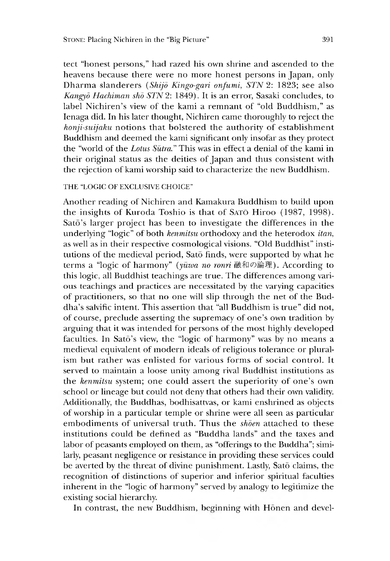tect "honest persons," had razed his own shrine and ascended to the heavens because there were no more honest persons in Japan, only Dharma slanderers *(Shijo Kingo-gari onfumi, STN* 2:1823; see also *Kangyd Hachiman sho STN* 2:1849). It is an error, Sasaki concludes, to label Nichiren's view of the kami a remnant of "old Buddhism," as Ienaga did. In his later thought, Nichiren came thoroughly to reject the *honji-suijaku* notions that bolstered the authority of establishment Buddhism and deemed the kami significant only insofar as they protect the "world of the *Lotus Sutra."* This was in effect a denial of the kami in their original status as the deities of Japan and thus consistent with the rejection of kami worship said to characterize the new Buddhism.

## THE "LOGIC OF EXCLUSIVE CHOICE"

Another reading of Nichiren and Kamakura Buddhism to build upon the insights of Kuroda Toshio is that of SATO Hiroo (1987, 1998). Satō's larger project has been to investigate the differences in the underlying "logic" of both *kenmitsu* orthodoxy and the heterodox *itan,* as well as in their respective cosmological visions. "Old Buddhist" institutions of the medieval period, Sato finds, were supported by what he terms a "logic of harmony" (yuwa no ronri 融和の論理). According to this logic, all Buddhist teachings are true. The differences among various teachings and practices are necessitated by the varying capacities of practitioners, so that no one will slip through the net of the Buddha's salvific intent. This assertion that "all Buddhism is true" did not, of course, preclude asserting the supremacy of one's own tradition by arguing that it was intended for persons of the most highly developed faculties. In Satō's view, the "logic of harmony" was by no means a medieval equivalent of modern ideals of religious tolerance or pluralism but rather was enlisted for various forms of social control. It served to maintain a loose unity among rival Buddhist institutions as the *kenmitsu* system; one could assert the superiority of one's own school or lineage but could not deny that others had their own validity. Additionally, the Buddhas, bodhisattvas, or kami enshrined as objects of worship in a particular temple or shrine were all seen as particular embodiments of universal truth. Thus the *shoen* attached to these institutions could be defined as "Buddha lands" and the taxes and labor of peasants employed on them, as "offerings to the Buddha"; similarly, peasant negligence or resistance in providing these services could be averted by the threat of divine punishment. Lastly, Sato claims, the recognition of distinctions of superior and inferior spiritual faculties inherent in the "logic of harmony" served by analogy to legitimize the existing social hierarchy.

In contrast, the new Buddhism, beginning with Honen and devel-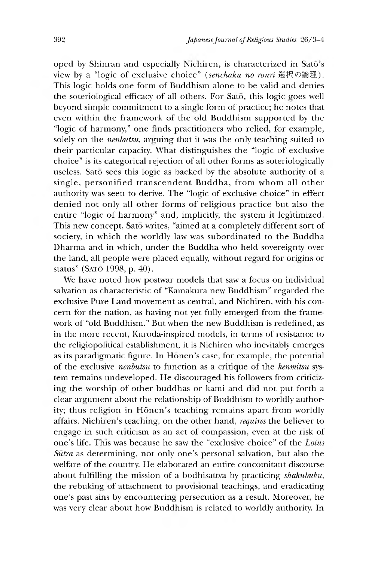oped by Shinran and especially Nichiren, is characterized in Sato's view by a "logic of exclusive choice" *(senchaku no ronri* 選択の論理). This logic holds one form of Buddhism alone to be valid and denies the soteriological efficacy of all others. For Sato, this logic goes well beyond simple commitment to a single form of practice; he notes that even within the framework of the old Buddhism supported by the "logic of harmony," one finds practitioners who relied, for example, solely on the *nenbutsu*, arguing that it was the only teaching suited to their particular capacity. What distinguishes the "logic of exclusive choice" is its categorical rejection of all other forms as soteriologically useless. Sato sees this logic as backed by the absolute authority of a single, personified transcendent Buddha, from whom all other authority was seen to derive. The "logic of exclusive choice" in effect denied not only all other forms of religious practice but also the entire "logic of harmony" and, implicitly, the system it legitimized. This new concept, Sato writes, "aimed at a completely different sort of society, in which the worldly law was subordinated to the Buddha Dharma and in which, under the Buddha who held sovereignty over the land, all people were placed equally, without regard for origins or status" (SATO 1998, p. 40).

We have noted how postwar models that saw a focus on individual salvation as characteristic of "Kamakura new Buddhism" regarded the exclusive Pure Land movement as central, and Nichiren, with his concern for the nation, as having not yet fully emerged from the framework of "old Buddhism." But when the new Buddhism is redefined, as in the more recent, Kuroda-inspired models, in terms of resistance to the religiopolitical establishment, it is Nichiren who inevitably emerges as its paradigmatic figure. In Honen's case, for example, the potential of the exclusive *nenbutsu* to function as a critique of the *kenmitsu* system remains undeveloped. He discouraged his followers from criticizing- the worship of other buddhas or kami and did not put forth a clear argument about the relationship of Buddhism to worldly authority; thus religion in Hōnen's teaching remains apart from worldly affairs. Nichiren's teaching, on the other hand, *requires* the believer to engage in such criticism as an act of compassion, even at the risk of one's life. This was because he saw the "exclusive choice" of the *Lotus Sutra* as determining, not only one's personal salvation, but also the welfare of the country. He elaborated an entire concomitant discourse about fulfilling the mission of a bodhisattva by practicing *shakubuku,* the rebuking of attachment to provisional teachings, and eradicating one's past sins by encountering persecution as a result. Moreover, he was very clear about how Buddhism is related to worldly authority. In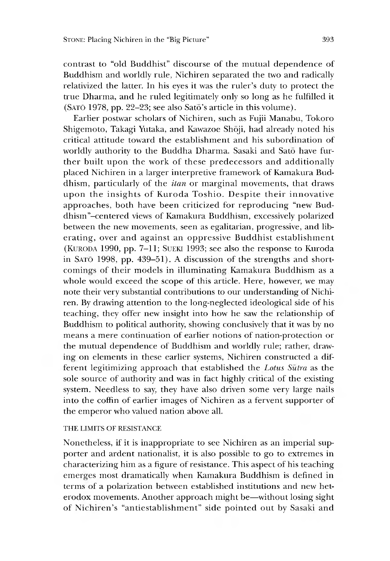contrast to "old Buddhist" discourse of the mutual dependence of Buddhism and worldly rule, Nichiren separated the two and radically relativized the latter. In his eyes it was the ruler's duty to protect the true Dharma, and he ruled legitimately only so long as he fulfilled it (SATO 1978, pp. 22-23; see also Sato's article in this volume).

Earlier postwar scholars of Nichiren, such as Fujii Manabu, Tokoro Shigemoto,Takagi Yutaka, and Kawazoe Shoji, had already noted his critical attitude toward the establishment and his subordination of worldly authority to the Buddha Dharma. Sasaki and Sato have further built upon the work of these predecessors and additionally placed Nichiren in a larger interpretive framework of Kamakura Buddhism, particularly of the *itan* or marginal movements, that draws upon the insights of Kuroda Toshio. Despite their innovative approaches, both have been criticized for reproducing "new Buddhism 5,-centered views of Kamakura Buddhism, excessively polarized between the new movements, seen as egalitarian, progressive, and liberating, over and against an oppressive Buddhist establishment (KURODA 1990, pp.  $7-11$ ; SUEKI 1993; see also the response to Kuroda in SATO 1998, pp. 439–51). A discussion of the strengths and shortcomines of their models in illuminating Kamakura Buddhism as a whole would exceed the scope of this article. Here, however, we may note their very substantial contributions to our understanding of Nichiren. By drawing attention to the long-neglected ideological side of his teaching, they offer new insieht into how he saw the relationship of Buddhism to political authority, showing conclusively that it was by no means a mere continuation of earlier notions of nation-protection or the mutual dependence of Buddhism and worldly rule; rather, drawing on elements in these earlier systems, Nichiren constructed a different legitimizing approach that established the *Lotus Sutra* as the sole source of authority and was in fact highly critical of the existing system. Needless to say, they have also driven some very large nails into the coffin of earlier images of Nichiren as a fervent supporter of the emperor who valued nation above all.

#### THE LIMITS OF RESISTANCE

Nonetheless, if it is inappropriate to see Nichiren as an imperial supporter and ardent nationalist, it is also possible to go to extremes in characterizing him as a figure of resistance. This aspect of his teaching emerges most dramatically when Kamakura Buddhism is defined in terms of a polarization between established institutions and new heterodox movements. Another approach might be—without losing sight of Nichiren's "antiestablishment" side pointed out by Sasaki and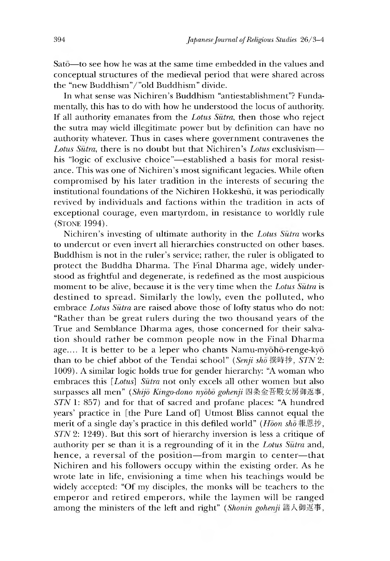Sato—to see how he was at the same time embedded in the values and conceptual structures of the medieval period that were shared across the "new Buddhism"/"old Buddhism" divide.

In what sense was Nichiren's Buddhism "antiestablishment"? Fundamentally, this has to do with how he understood the locus of authority. If all authority emanates from the *Lotus Sutra,* then those who reject the sutra may wield illegitimate power but by definition can have no authority whatever. Thus in cases where government contravenes the *Lotus Sutra,* there is no doubt but that Nichiren's *Lotus* exclusivism his "logic of exclusive choice"-established a basis for moral resistance. Ihis was one of Nichiren's most significant legacies. While often compromised by his later tradition in the interests of securing the institutional foundations of the Nichiren Hokkeshū, it was periodically revived by individuals and factions within the tradition in acts of exceptional courage, even martyrdom, in resistance to worldly rule (Stone 1994).

Nichiren's investing of ultimate authority in the *Lotus Sutra* works to undercut or even invert all hierarchies constructed on other bases. Buddhism is not in the ruler's service; rather, the ruler is obligated to protect the Buddha Dharma. The Final Dharma age, widely understood as frightful and degenerate, is redefined as the most auspicious moment to be alive, because it is the very time when the *Lotus Sutra* is destined to spread. Similarly the lowly, even the polluted, who embrace *Lotus Sutra* are raised above those of lofty status who do not: "Rather than be great rulers during the two thousand years of the True and Semblance Dharma ages, those concerned for their salvation should rather be common people now in the Final Dharma age.... It is better to be a leper who chants Namu-myōhō-renge-kyō than to be chief abbot of the Tendai school" (Senji sho 撰時抄, STN 2: 1009). A similar logic holds true for gender hierarchy: "A woman who embraces this *[Lotus] Sutra* not only excels all other women but also surpasses all men" *(Shijo Kingo-dono nyobo gohenji* 四条金吾殿女房御返事, *STN* 1: 857) and for that of sacred and profane places: "A hundred years' practice in [the Pure Land of] Utmost Bliss cannot equal the merit of a single day's practice in this defiled world" (Hoon sho 報恩抄, *STN* 2: 1249). But this sort of hierarchy inversion is less a critique of authority per se than it is a regrounding of it in the *Lotus Sutra* and, hence, a reversal of the position—from margin to center—that Nichiren and his followers occupy within the existing order. As he wrote late in life, envisioning a time when his teachings would be widely accepted: "Of my disciples, the monks will be teachers to the emperor and retired emperors, while the laymen will be ranged among the ministers of the left and right" (Shonin gohenji 諸人御返事,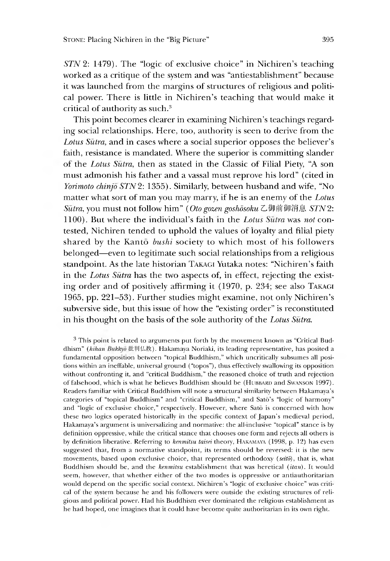*STN* 2: 1479). The "logic of exclusive choice" in Nichiren's teaching worked as a critique of the system and was "antiestablishment" because it was launched from the margins of structures of religious and political power. There is little in Nichiren's teaching that would make it critical of authority as such.3

This point becomes clearer in examining Nichiren's teachings regarding social relationships. Here, too, authority is seen to derive from the *Lotus Sutra,* and in cases where a social superior opposes the believer's faith, resistance is mandated. Where the superior is committing slander or the *Lotus Sutra,* then as stated in the Classic of Filial Piety, "A son must admonish his father and a vassal must reprove his lord" (cited in *Yorimoto chinjo STN* 2:1355). Similarly, between husband and wife,"No matter what sort of man you may marry, if he is an enemy of the *Lotus Sutra,* you must not follow him" *(Oto gozen goshdsoku* こ御前御消息 *STN*2: 1100). But where the individual's faith in the *Lotus Sūtra* was not contested, Nichiren tended to uphold the values of loyalty and filial piety shared by the Kanto *bushi* society to which most of his followers belonged—even to legitimate such social relationsnips from a religious standpoint. As the late historian Takagi Yutaka notes: "Nichiren's faith in the *Lotus Sūtra* has the two aspects of, in effect, rejecting the existing order and of positively affirming it (1970, p. 234; see also TAKAGI 1965, pp. 221–53). Further studies might examine, not only Nichiren's subversive side, but this issue of how the "existing order" is reconstituted in his thought on the basis of the sole authority of the *Lotus Sutra.*

 $3$  This point is related to arguments put forth by the movement known as "Critical Buddhism" (hihan Bukkyō 批判仏教). Hakamaya Noriaki, its leading representative, has posited a fundamental opposition between "topical Buddhism," which uncritically subsumes all positions within an ineffable, universal ground ("topos"), thus effectively swallowing its opposition without confronting it, and "critical Buddhism," the reasoned choice of truth and rejection of falsehood, which is what he believes Buddhism should be (HUBBARD and SWANSON 1997). Readers familiar with Critical Buddhism will note a structural similarity between Hakamaya's categories of "topical Buddhism" and "critical Buddhism," and Sato's "logic of harmony" and "logic of exclusive choice," respectively. However, where Sato is concerned with how these two logics operated historically in the specific context of Japan's medieval period, Hakamaya's argument is universalizing and normative: the all-inclusive "topical" stance is by definition oppressive, while the critical stance that chooses one form and rejects all others is by definition liberative. Referring to *kenmitsu taisei* theory, HAKAMAYA (1998, p. 12) has even suggested that, from a normative standpoint, its terms should be reversed: it is the new movements, based upon exclusive choice, that represented orthodoxy *(seitd),* that is, what Buddhism should be, and the *kenmitsu* establishment that was heretical *{itan).* It would seem, however, that whether either of the two modes is oppressive or antiauthoritarian would depend on the specific social context. Nichiren's "logic of exclusive choice" was critical of the system because he and his followers were outside the existing structures of religious and political power. Had his Buddhism ever dominated the religious establishment as he had hoped, one imagines that it could have become quite authoritarian in its own right.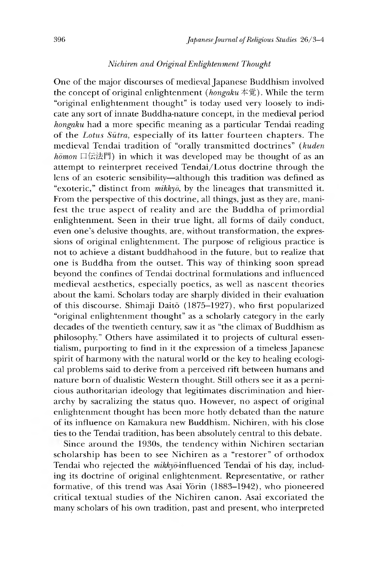### *Nichiren and Original Enlightenment Thought*

One of the major discourses of medieval Japanese Buddhism involved the concept of original enlightenment *(hongaku* 本覚). While the term "original enlightenment thought" is today used very loosely to indicate any sort of innate Buddha-nature concept, in the medieval period *hongaku* had a more specific meaning as a particular Tendai reading of the *Lotus Sutra,* especially of its latter fourteen chapters. The medieval Tendai tradition of "orally transmitted doctrines" *(kuden*  $h\bar{o}$ *mon* 口伝法門) in which it was developed may be thought of as an attempt to reinterpret received Tendai/Lotus doctrine through the lens of an esoteric sensibility—although this tradition was defined as "exoteric," distinct from *mikkyo*, by the lineages that transmitted it. From the perspective of this doctrine, all things, just as they are, manifest the true aspect of reality and are the Buddha of primordial enlightenment. Seen in their true light, all forms of daily conduct, even one's delusive thoughts, are, without transformation, the expressions of original enlightenment. The purpose of religious practice is not to achieve a distant buddhahood in the future, but to realize that one is Buddha from the outset. This way of thinking soon spread beyond the confines of Tendai doctrinal formulations and influenced medieval aesthetics, especially poetics, as well as nascent theories about the kami. Scholars today are sharply divided in their evaluation of this discourse. Shimaji Daitō (1875-1927), who first popularized "original enlightenment thought" as a scholarly category in the early decades of the twentieth century, saw it as "the climax of Buddhism as philosophy." Others have assimilated it to projects of cultural essentialism, purporting to find in it the expression of a timeless Japanese spirit of harmony with the natural world or the key to healing ecological problems said to derive from a perceived rift between humans and nature born of dualistic Western thought. Still others see it as a pernicious authoritarian ideology that legitimates discrimination and hierarchy by sacralizing the status quo. However, no aspect of original enlightenment thought has been more hotly debated than the nature or its influence on Kamakura new Buddhism. Nichiren, with his close ties to the Tendai tradition, has been absolutely central to this debate.

Since around the 1930s, the tendency within Nichiren sectarian scholarship has been to see Nichiren as a "restorer" of orthodox Tendai who rejected the *mikky*o-influenced Tendai of his day, including its doctrine of original enlightenment. Representative, or rather formative, of this trend was Asai Yorin (1883-1942), who pioneered critical textual studies of the Nichiren canon. Asai excoriated the many scholars of his own tradition, past and present, who interpreted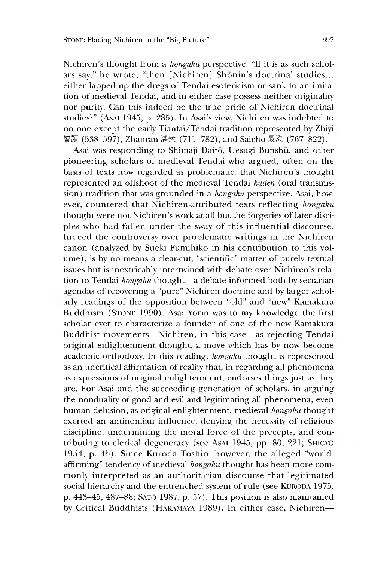Nichiren's thought from a *hongaku* perspective. "If it is as such scholars say," he wrote, "then [Nichiren] Shonin's doctrinal studies... either lapped up the dregs of Tendai esotericism or sank to an imitation of medieval Tendai, and in either case possess neither originality nor purity. Can this indeed be the true pride of Nichiren doctrinal studies?" (Asal 1945, p. 285). In Asai's view, Nichiren was indebted to no one except the early Tiantai/Tendai tradition represented by Zhiyi 智顗 (538-597), Zhanran 湛然 (711-782), and Saicho 最澄 (767-822).

Asai was responding to Shimaji Daitō, Uesugi Bunshū, and other pioneering scholars of medieval Tendai who argued, often on the basis of texts now regarded as problematic, that Nichiren's thought represented an offshoot of the medieval Tendai *kuden* (oral transmission) tradition that was grounded in a *hongaku* perspective. Asai, however, countered that Nichiren-attributed texts reflecting *hongaku* thought were not Nichiren's work at all but the forgeries of later disciples who had fallen under the sway of this influential discourse. Indeed the controversy over problematic writings in the Nichiren canon (analyzed by Sueki Fumihiko in his contribution to this volume), is by no means a clear-cut, "scientific" matter of purely textual issues but is inextricably intertwined with debate over Nichiren's relation to Tendai *hongaku* thought—a debate informed both by sectarian agendas of recovering a "pure" Nichiren doctrine and by larger scholarly readings of the opposition between "old" and "new" Kamakura Buddhism (Stone 1990). Asai Yorin was to my knowledge the first scholar ever to characterize a founder of one of the new Kamakura Buddhist movements—Nichiren, in this case—as rejecting Tendai original enlightenment thought, a move which has by now become academic orthodoxy. In this reading, *hongaku* thought is represented as an uncritical affirmation of reality that, in regarding all phenomena as expressions of original enlightenment, endorses things just as they are. For Asai and the succeeding generation of scholars, in arguing the nonduality of good and evil and legitimating all phenomena, even human delusion, as original enlightenment, medieval *hongaku* thought exerted an antinomian influence, denying the necessity of religious discipline, undermining the moral force of the precepts, and contributing to clerical degeneracy (see Asai 1945, pp. 80, 221; SHIGYO 1954, p. 45). Since Kuroda Toshio, however, the alleged "worldaffirming" tendency of medieval *hongaku* thought has been more commonly interpreted as an authoritarian discourse that legitimated social hierarchy and the entrenched system of rule (see KURODA 1975, p. 443-45 487-88; Sato 1987 p. 57). This position is also maintained by Critical Buddhists (Hakamaya 1989). In either case, Nichiren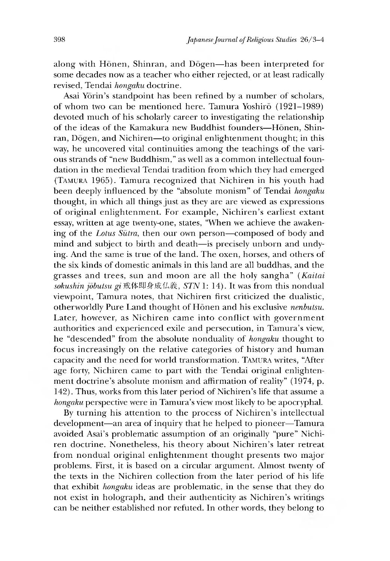along with Hōnen, Shinran, and Dōgen—has been interpreted for some decades now as a teacher who either rejected, or at least radically revised, Tendai *hongaku* doctrine.

Asai Yōrin's standpoint has been refined by a number of scholars, of whom two can be mentioned here. Tamura Yoshiro (1921–1989) devoted much of his scholarly career to investigating the relationship of the ideas of the Kamakura new Buddhist founders-Honen, Shinran, Dogen, and Nichiren—to original enlightenment thought; in this way, he uncovered vital continuities among the teachings of the various strands of "new Buddhism," as well as a common intellectual foundation in the medieval Tendai tradition from which they had emerged (Tamura 1965). Tamura recognized that Nichiren in his youth had been deeply influenced by the "absolute monism" of Tendai *hongaku* thought, in which all things just as they are are viewed as expressions of original enlightenment. For example, Nichiren's earliest extant essay, written at age twenty-one, states, "When we achieve the awakening of the *Lotus Sutra,* then our own person—composed of body and mind and subject to birth and death—is precisely unborn and undying. And the same is true of the land. The oxen, horses, and others of the six kinds of domestic animals in this land are all buddhas, and the grasses and trees, sun and moon are all the holy sangha" *(Kaitai sokushin jobutsu* gi 戒体即身成仏義*,STN* 1:14). It was from this nondual viewpoint, Tamura notes, that Nichiren first criticized the dualistic, otherworldly Pure Land thought of Honen and his exclusive *nenbutsu*. Later, however, as Nichiren came into conflict with government authorities and experienced exile and persecution, in Tamura's view, he "descended" from the absolute nonduality of *hongaku* thought to focus increasingly on the relative categories of history and human capacity and the need for world transformation. Tamura writes, "After age forty, Nichiren came to part with the Tendai original enlightenment doctrine's absolute monism and affirmation of reality" (1974, p. 142). Thus, works from this later period of Nichiren's life that assume a *hongaku* perspective were in Tamura's view most likely to be apocryphal.

By turning his attention to the process of Nichiren's intellectual development—an area of inquiry that he helped to pioneer—Tamura avoided Asai's problematic assumption of an originally "pure" Nichiren doctrine. Nonetheless, his theory about Nichiren's later retreat from nondual original enlightenment thought presents two major problems. First, it is based on a circular argument. Almost twenty of the texts in the Nichiren collection from the later period of his life that exhibit *hongaku* ideas are problematic, in the sense that they do not exist in holograph, and their authenticity as Nichiren's writings can be neither established nor refuted. In other words, they belong to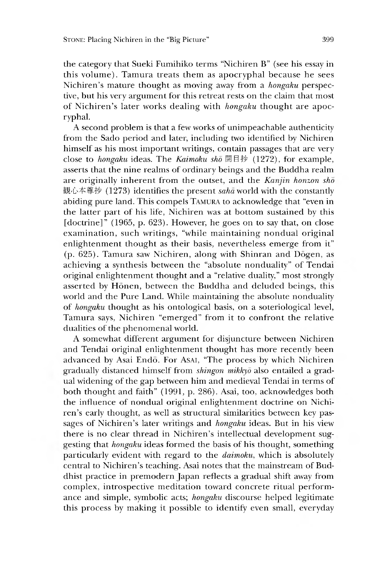the category that Sueki Fumihiko terms "Nichiren B" (see his essay in this volume). Tamura treats them as apocryphal because he sees Nichiren's mature thought as moving away from a *hongaku* perspective, but his very argument for this retreat rests on the claim that most of Nichiren's later works dealing with *hongaku* thought are apocryphal.

A second problem is that a few works of unimpeachable authenticity from the Sado period and later, including two identified by Nichiren himself as his most important writings, contain passages that are very close to *hongaku* ideas. The *Kaimoku sho* 開目抄 (1272), for example, asserts that the nine realms of ordinary beings and the Buddha realm are originally inherent from the outset, and the *Kanjin horizon sho* 観心本尊抄(1273) identifies the present *saha* world with the constantly abiding pure land. This compels TAMURA to acknowledge that "even in the latter part of his life, Nichiren was at bottom sustained by this  $[doctrine]'$  (1965, p. 623). However, he goes on to say that, on close examination, such writings, "while maintaining nondual original enlightenment thought as their basis, nevertheless emerge from it" (p. 625). Tamura saw Nichiren, along with Shinran and Dogen, as achieving a synthesis between the "absolute nonduality" of Tendai original enlightenment thought and a "relative duality," most strongly asserted by Honen, between the Buddha and deluded beings, this world and the Pure Land. While maintaining the absolute nonduality of *hongaku* thought as his ontological basis, on a soteriological level, Tamura says, Nichiren "emerged" from it to confront the relative dualities of the phenomenal world.

A somewhat different argument for disjuncture between Nichiren and Tendai original enlightenment thought has more recently been advanced by Asai Endō. For Asai, "The process by which Nichiren gradually distanced himself from *shingon mikkyd* also entailed a gradual widening of the eap between him and medieval Tendai in terms of both thought and faith" (1991, p. 286). Asai, too, acknowledges both the influence of nondual original enlightenment doctrine on Nichiren's early thought, as well as structural similarities between key passages of Nichiren's later writings and *hongaku* ideas. But in his view there is no clear thread in Nichiren's intellectual development sueeesting that *hongaku* ideas formed the basis of his thought, something particularly evident with regard to the *daimoku,* which is absolutely central to Nichiren's teaching. Asai notes that the mainstream of Buddhist practice in premodern Japan reflects a gradual shift away from complex, introspective meditation toward concrete ritual performance and simple, symbolic acts; *hongaku* discourse helped legitimate this process by making it possible to identify even small, everyday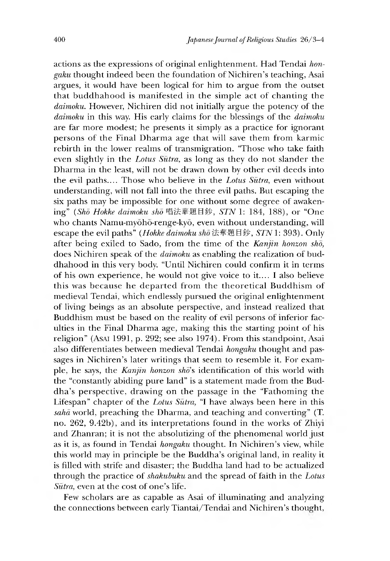actions as the expressions of original enlightenment. Had Tendai *hongaku* thought indeed been the foundation of Nichiren's teaching, Asai argues, it would have been logical for him to argue from the outset that buddhahood is manifested in the simple act of chanting the *daimoku.* However, Nichiren did not initially argue the potency of the *daimoku* in this way. His early claims for the blessings of the *daimoku* are far more modest; he presents it simply as a practice for ignorant persons of the Final Dharma age that will save them from karmic rebirth in the lower realms of transmigration. "Those who take faith even slightly in the *Lotus Sutra,* as long as they do not slander the Dharma in the least, will not be drawn down by other evil deeds into the evil paths.... Those who believe in the *Lotus Sutra,* even without understanding, will not fall into the three evil paths. But escaping the six paths may be impossible for one without some degree of awakening<sup>"</sup> (Sho Hokke daimoku sho 唱法華題目鈔, STN 1: 184, 188), or "One who chants Namu-myōhō-renge-kyō, even without understanding, will escape the evil paths" (Hokke daimoku shō 法華題目鈔, STN 1: 393). Only after being exiled to Sado, from the time of the *Kanjin honzon sho*, does Nichiren speak of the *daimoku* as enabling the realization of buddhahood in this very body. "Until Nichiren could confirm it in terms of his own experience, he would not give voice to it.... I also believe this was because he departed from the theoretical Buddhism of medieval Tendai, which endlessly pursued the original enlightenment of living beines as an absolute perspective, and instead realized that Buddhism must be based on the reality of evil persons of inferior faculties in the Final Dharma age, making this the starting point of his religion" (Asal 1991, p. 292; see also 1974). From this standpoint, Asai also differentiates between medieval Tendai *hongaku* thought and passages in Nichiren's later writings that seem to resemble it. For example, he says, the *Kanjin honzon sho*'s identification of this world with the "constantly abiding pure land" is a statement made from the Buddha's perspective, drawing on the passage in the "Fathoming the Lifespan" chapter of the *Lotus Sutra,* "I have always been here in this *sahā* world, preaching the Dharma, and teaching and converting" (T. no. 262, 9.42b), and its interpretations found in the works of Zhiyi and Zhanran; it is not the absolutizing of the phenomenal world just as it is, as found in Tendai *hongaku* thought. In Nicniren's view, while this world may in principle be the Buddha's original land, in reality it is filled with strife and disaster; the Buddha land had to be actualized through the practice of *shakubuku* and the spread of faith in the *Lotus Sutra,* even at the cost of one's lite.

Few scholars are as capable as Asai of illuminating and analyzing the connections between early Tiantai/Tendai and Nichiren's thought,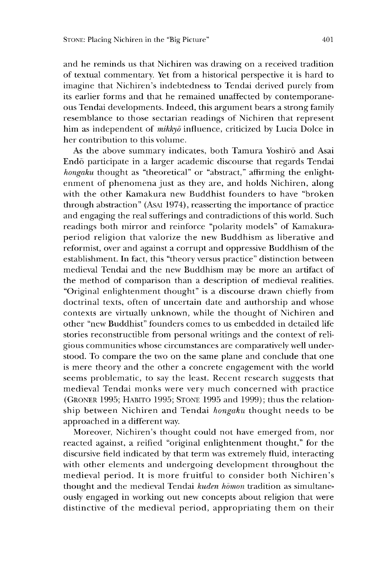and he reminds us that Nichiren was drawing on a received tradition of textual commentary. Yet from a historical perspective it is hard to imagine that Nichiren's indebtedness to Tendai derived purely from its earlier forms and that he remained unaffected by contemporaneous Tendai developments. Indeed, this argument bears a strong family resemblance to those sectarian readings of Nichiren that represent him as independent of *mikkyd* influence, criticized by Lucia Dolce in her contribution to this volume.

As the above summary indicates, both Tamura Yoshiro and Asai Endō participate in a larger academic discourse that regards Tendai *hongaku* thought as "theoretical" or "abstract," affirming the enlightenment of phenomena just as they are, and holds Nichiren, along with the other Kamakura new Buddhist founders to have "broken through abstraction" (AsAI 1974), reasserting the importance of practice and engaging the real sufferings and contradictions of this world. Such readings both mirror and reinforce "polarity models" of Kamakuraperiod religion that valorize the new Buddhism as liberative and reformist, over and against a corrupt and oppressive Buddhism of the establishment. In fact, this "theory versus practice" distinction between medieval Tendai and the new Buddhism may be more an artifact of the method of comparison than a description of medieval realities. "Original enlightenment thought" is a discourse drawn chiefly from doctrinal texts, often of uncertain date and authorship and whose contexts are virtually unknown, while the thought of Nichiren and other "new Buddhist" founders comes to us embedded in detailed life stories reconstructible from personal writings and the context of religious communities whose circumstances are comparatively well understood. To compare the two on the same plane and conclude that one is mere theory and the other a concrete engagement with the world seems problematic, to say the least. Recent research suggests that medieval Tendai monks were very much concerned with practice (Groner 1995; Habito 1995; Stone 1995 and 1999); thus the relationship between Nichiren and Tendai *hongaku* thought needs to be approached in a different way.

Moreover, Nichiren's thought could not have emerged from, nor reacted against, a reified "original enlightenment thought," for the discursive field indicated by that term was extremely fluid, interacting with other elements and undergoing development throughout the medieval period. It is more fruitful to consider both Nichiren's thought and the medieval Tendai *kuden homon* tradition as simultaneously engaged in working out new concepts about religion that were distinctive of the medieval period, appropriating them on their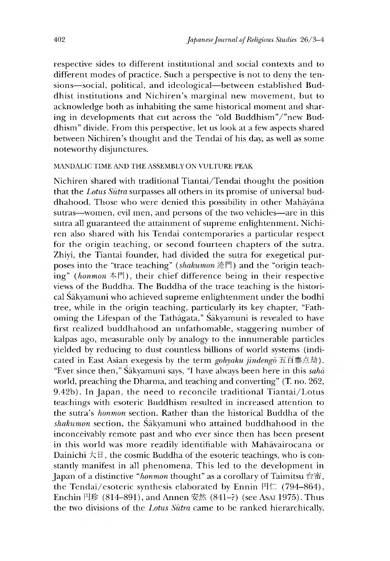respective sides to different institutional and social contexts and to different modes of practice. Such a perspective is not to deny the tensions—social, political, and ideological—between established Buddhist institutions and Nichiren's marginal new movement, but to acknowledge both as inhabiting the same historical moment and sharing in developments that cut across the "old Buddhism"/"new Buddhism" divide. From this perspective, let us look at a few aspects shared between Nichiren's thought and the Tendai of his day, as well as some noteworthy disjunctures.

### MANDALIC TIME AND THE ASSEMBLY ON VULTURE PEAK

Nichiren shared with traditional Tiantai/Tendai thought the position that the *Lotus Sutra* surpasses all others in its promise of universal buddhahood. Those who were denied this possibility in other Mahayana sutras—women, evil men, and persons of the two vehicles—are in this sutra all guaranteed the attainment of supreme enlightenment. Nichiren also shared with his Tendai contemporaries a particular respect for the origin teaching, or second fourteen chapters of the sutra. Zhiyi, the Tiantai founder, had divided the sutra for exegetical purposes into the "trace teaching" (shakumon 迹門) and the "origin teaching" (honmon 本門), their chief difference being in their respective views of the Buddha. The Buddha of the trace teaching is the historical Sakyamuni who achieved supreme enlightenment under the bodhi tree, while in the origin teaching, particularly its key chapter, "Fathoming the Lifespan of the Tathagata," Sakyamuni is revealed to have first realized buddhahood an unfathomable, staggering number of kalpas ago, measurable only by analogy to the innumerable particles yielded by reducing to dust countless billions of world systems (indicated in East Asian exegesis by the term *gohyaku jindengo* 五百塵点劫). "Ever since then," Sakyamuni says, "I have always been here in this *saha* world, preaching the Dharma, and teaching and converting" (T. no. 262, 9.42b). In Japan, the need to reconcile traditional Tiantai/Lotus teachings with esoteric Buddhism resulted in increased attention to the sutra's *honmon* section. Rather than the historical Buddha of the *shakumon* section, the Sakyamuni who attained buddhahood in the inconceivably remote past and who ever since then has been present in this world was more readily identifiable with Mahavairocana or Dainichi 大日, the cosmic Buddha of the esoteric teachings, who is constantly manifest in all phenomena. This led to the development in Japan of a distinctive "honmon thought" as a corollary of Taimitsu 台密, the Tendai/esoteric synthesis elaborated by Ennin  $H \subset (794-864)$ , Enchin 円珍 (814-891), and Annen 安然 (841-?) (see Asal 1975). Thus the two divisions of the *Lotus Sutra* came to be ranked hierarchically,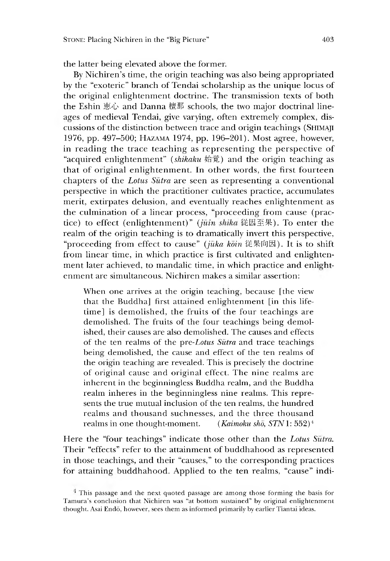the latter being elevated above the former.

By Nichiren's time, the origin teaching was also being appropriated by the "exoteric" branch of Tendai scholarship as the unique locus of the original enlightenment doctrine. The transmission texts of both the Eshin 恵心 and Danna 檀那 schools, the two major doctrinal lineages of medieval Tendai, eive varying, often extremely complex, discussions of the distinction between trace and origin teachings (SHIMAJI 1976 pp. 497-500; Hazama 1974 pp. 196-201). Most agree, however, in reading the trace teaching as representing the perspective of "acquired enlightenment" *(shikaku* 始覚) and the origin teaching as that of original enlightenment. In other words, the first fourteen chapters of the *Lotus Sutra* are seen as representing a conventional perspective in which the practitioner cultivates practice, accumulates merit, extirpates delusion, and eventually reaches enlightenment as the culmination of a linear process, "proceeding from cause (practice) to effect (enlightenment)" (jūin shika 従因至果). To enter the realm of the origin teaching is to dramatically invert this perspective, "proceeding from effect to cause" *(juka koin* 従果向因). It is to shift from linear time, in which practice is first cultivated and enlightenment later achieved, to mandalic time, in which practice and enlightenment are simultaneous. Nichiren makes a similar assertion:

When one arrives at the origin teaching, because [the view] that the Buddha] first attained enlightenment [in this lifetime] is demolished, the fruits of the four teachings are demolished. The fruits of the four teachings being demolished, their causes are also demolished. The causes and effects of the ten realms of the *pre-Lotus Sutra* and trace teachings being demolished, the cause and effect of the ten realms of the origin teaching are revealed, fhis is precisely the doctrine of original cause and original effect. The nine realms are inherent in the beginningless Buddha realm, and the Buddha realm inheres in the beginningless nine realms. This represents the true mutual inclusion of the ten realms, the hundred realms and thousand suchnesses, and the three thousand realms in one thought-moment. *(Kaimoku shō, STN* 1: 552)<sup>4</sup>

Here the "four teachings" indicate those other than the *Lotus Sutra.* Their "effects" refer to the attainment of buddhahood as represented in those teachings, and their "causes," to the corresponding practices for attaining buddhahood. Applied to the ten realms, "cause" indi-

<sup>&</sup>lt;sup>4</sup> This passage and the next quoted passage are among those forming the basis for Tamura's conclusion that Nichiren was "at bottom sustained" by original enlightenment thought. Asai Endo, however, sees them as informed primarily by earlier Tiantai ideas.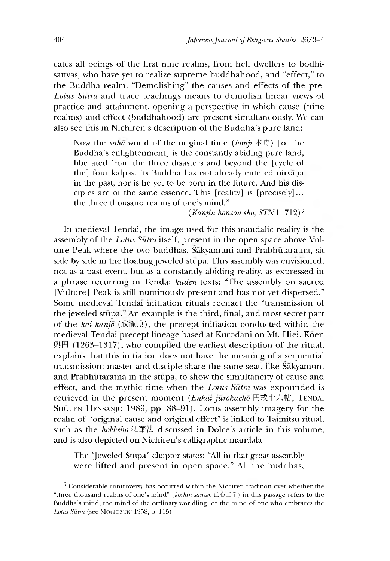cates all beings of the first nine realms, from hell dwellers to bodhisattvas, who have yet to realize supreme buddhahood, and "effect," to the Buddha realm. "Demolishing" the causes and effects of the pre-*Lotus Sutra* and trace teachings means to demolish linear views of practice and attainment, opening a perspective in which cause (nine realms) and effect (buddhahood) are present simultaneously. We can also see this in Nichiren's description of the Buddha's pure land:

Now the *saha* world of the original time *(honji* 本時) [of the Buddha's enlightenment] is the constantly abiding pure land, liberated from the three disasters and beyond the [cycle of the] four kalpas. Its Buddha has not already entered nirvana in the past, nor is he yet to be born in the future. And his disciples are of the same essence. This [reality] is [precisely]… the three thousand realms of one's mind."

*(Kanjin horizon shd, STN 1..*712)5

In medieval Tendai, the image used for this mandalic reality is the assembly of the *Lotus Sutra* itself, present in the open space above Vulture Peak where the two buddhas, Sakyamuni and Prabhūtaratna, sit side by side in the floating jeweled stupa. This assembly was envisioned, not as a past event, but as a constantly abiding reality, as expressed in a phrase recurring in Tendai *kuden* texts: "The assembly on sacred [Vulture] Peak is still numinously present and has not yet dispersed." Some medieval Tendai initiation rituals reenact the "transmission of the jeweled stupa." An example is the third, final, and most secret part of the *kai kanjo* (戒潅頂), the precept initiation conducted within the medieval Tendai precept lineage based at Kurodani on Mt. Hiei. Koen 興円 (1263-1317), who compiled the earliest description of the ritual, explains that this initiation does not have the meaning of a sequential transmission: master and disciple share the same seat, like Sakyamuni and Prabhūtaratna in the stūpa, to show the simultaneity of cause and effect, and the mythic time when the *Lotus Sutra* was expounded is retrieved in the present moment *(Enkai jūrokuchō* 円戒十六帖, TENDAI SHŪTEN HENSANJO 1989, pp. 88-91). Lotus assembly imagery for the realm of "original cause and original effect" is linked to Taimitsu ritual, such as the *hokkehd* 法華法 discussed in Dolce's article in this volume, and is also depicted on Nichiren's calligraphic mandala:

The "Jeweled Stūpa" chapter states: "All in that great assembly were lifted and present in open space." All the buddhas,

<sup>5</sup> Considerable controversy has occurred within the Nichiren tradition over whether the "three thousand realms of one's mind" *(koshin sanzen* 己七、三千) in this passage refers to the Buddha's mind, the mind of the ordinary worldling, or the mind of one who embraces the *Lotus Sūtra* (see MOCHIZUKI 1958, p. 115).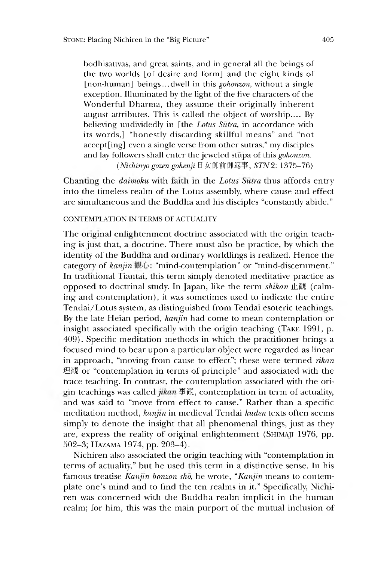bodhisattvas, and great saints, and in general all the beings of the two worlds [of desire and form] and the eight kinds of [non-human] beings... dwell in this *gohonzon,* without a single exception. Illuminated by the light of the five characters of the Wonderful Dharma, they assume their originally inherent august attributes. This is called the object of worship.... By believing undividedly in [the *Lotus Sutra,* in accordance with its words,] "honestly discarding skillful means" and "not  $accepting]$  even a single verse from other sutras," my disciples and lay followers shall enter the jeweled stupa of this *gohonzon. (Nichinyo gozen gohenji* 日女御前御返事,*STN*2:1375—76)

Chanting the *daimoku* with faith in the *Lotus Sūtra* thus affords entry into the timeless realm of the Lotus assembly, where cause and effect are simultaneous and the Buddha and his disciples "constantly abide."

#### CONTEMPLATION IN TERMS OF ACTUALITY

The original enlightenment doctrine associated with the origin teaching is just that, a doctrine. There must also be practice, by which the identity of the Buddha and ordinary worldlings is realized. Hence the category of  $kanjin$ 観心: "mind-contemplation" or "mind-discernment." In traditional Tiantai, this term simply denoted meditative practice as opposed to doctrinal study. In Japan, like the term *shikan* 止 観 (calming and contemplation), it was sometimes used to indicate the entire Tendai/Lotus system, as distinguished from Tendai esoteric teachings. By the late Heian period, *kanjin* had come to mean contemplation or insight associated specifically with the origin teaching (TAKE 1991, p. 409). Specific meditation methods in which the practitioner brings a focused mind to bear upon a particular object were regarded as linear in approach, "moving from cause to effect"; these were termed *rikan* 理観 or "contemplation in terms of principle" and associated with the trace teaching. In contrast, the contemplation associated with the origin teachings was called  $j$ ikan 事観, contemplation in term of actuality, and was said to "move from effect to cause." Rather than a specific meditation method, *kanjin* in medieval Tendai *kuden* texts often seems simply to denote the insight that all phenomenal things, just as they are, express the reality of original enlightenment (SHIMAJI 1976, pp. 502-3; Наzама 1974, pp. 203-4).

Nichiren also associated the origin teaching with "contemplation in terms of actuality," but he used this term in a distinctive sense. In his famous treatise *Kanjin honzon sho*, he wrote, "Kanjin means to contemplate one's mind and to find the ten realms in it." Specifically, Nichiren was concerned with the Buddha realm implicit in the human realm; for him, this was the main purport of the mutual inclusion of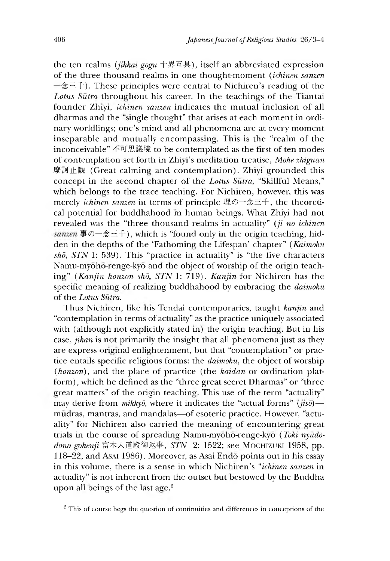the ten realms *(jikkai gogu* 十界互具), itself an abbreviated expression of the three thousand realms in one thought-moment *(ichinen sanzen* 一念三千). These principles were central to Nichiren's reading of the Lotus Sūtra throughout his career. In the teachings of the Tiantai founder Zhiyi, *ichinen sanzen* indicates the mutual inclusion of all dharmas and the "single thought" that arises at each moment in ordinary worldlings; one's mind and all phenomena are at every moment inseparable and mutually encompassing. This is the "realm of the inconceivable" 不可思議境 to be contemplated as the first of ten modes of contemplation set forth in Zhiyi's meditation treatise, *Mohe zhiguan* 摩訶止観 (Great calming and contemplation). Zhiyi grounded this concept in the second chapter of the *Lotus Sutra,* "Skillful Means," which belongs to the trace teaching. For Nichiren, however, this was merely *ichinen sanzen* in terms of principle 理の一念三千, the theoretical potential for buddhahood in human beings. What Zhivi had not revealed was the "three thousand realms in actuality" *(ji no ichinen*) sanzen 事の一念三千), which is "found only in the origin teaching, hidden in the depths of the 'Fathoming the Lifespan' chapter" (Kaimoku *shd, STN* 1:539). This "practice in actuality" is "the five characters Namu-myōhō-renge-kyō and the object of worship of the origin teachine" *(Kanjin horizon shd, STN* 1:719). *Kanjin* for Nichiren has the specific meaning of realizing buddhahood by embracing the *daimoku* of the *Lotus Sutra.*

Thus Nichiren, like his Tendai contemporaries, taught *kanjin* and "contemplation in terms of actuality" as the practice uniquely associated with (although not explicitly stated in) the origin teaching. But in his case, *jikan* is not primarily the insight that all phenomena just as they are express original enlightenment, but that "contemplation" or practice entails specific religious forms: the *daimoku*, the object of worship *{horizon),* and the place of practice (the *kaidan* or ordination platform) , which he defined as the "three great secret Dharmas" or "three ereat matters" of the origin teaching. This use of the term "actuality" may derive from *mikkyo*, where it indicates the "actual forms" *(jiso)* mudras, mantras, and mandalas—of esoteric practice. However, "actuality" for Nichiren also carried the meaning of encountering great trials in the course of spreading Namu-myoho-renge-kyo *(Toki nyudddono gohenji* 富木入道殿御返事, STN 2: 1522; see MOCHIZUKI 1958, pp. 118-22, and Asai 1986). Moreover, as Asai Endo points out in his essay in this volume, there is a sense in which Nichiren's *"ichinen sanzen* in actuality" is not inherent from the outset but bestowed by the Buddha upon all beings of the last age. $6$ 

<sup>6</sup> This of course begs the question of continuities and differences in conceptions of the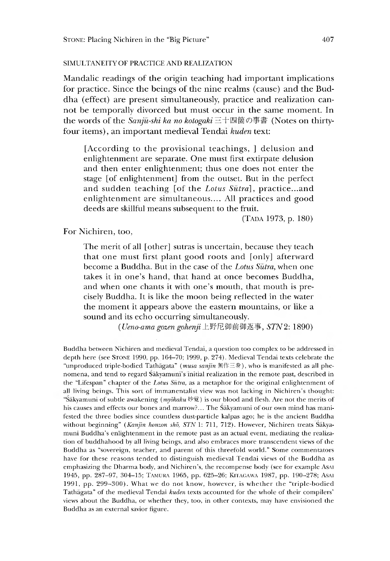### SIMULTANEITY OF PRACTICE AND REALIZATION

Mandalic readings of the origin teaching had important implications for practice. Since the beings of the nine realms (cause) and the Buddha (effect) are present simultaneously, practice and realization cannot be temporally divorced but must occur in the same moment. In the words of the *Sanju-shi ka no kotogaki* 三十四箇の事書(Notes on thirtyfour items),an important medieval Tendai *kuden* text:

[According to the provisional teachings, ] delusion and enlightenment are separate. One must first extirpate delusion and then enter enlightenment; thus one does not enter the stage [of enlightenment] from the outset. But in the perfect and sudden teaching [of the *Lotus Sutra],* practice...and enlightenment are simultaneous.... All practices and good deeds are skillful means subsequent to the fruit.

(TADA 1973, p. 180)

For Nichiren, too,

The merit of all [other] sutras is uncertain, because they teach that one must first plant good roots and [only] afterward become a Buddha. But in the case of the *Lotus Sutra,* when one takes it in one's hand, that hand at once becomes Buddha, and when one chants it with one's mouth, that mouth is precisely Buddha. It is like the moon being reflected in the water the moment it appears above the eastern mountains, or like a sound and its echo occurring simultaneously.

(*Ueno-ama gozen gohenji*上野尼御前御返事,*STN*2:1890)

Buddha between Nichiren and medieval Tendai, a question too complex to be addressed in depth here (see STONE 1990, pp. 164-70; 1999, p. 274). Medieval Tendai texts celebrate the "unproduced triple-bodied Tathagata^ *{musa sanjin* 無作三身),who is manifested as all phenomena, and tend to regard Sakyamuni's initial realization in the remote past, described in the "Lifespan" chapter of the *Lotus Sutra,* as a metaphor for the original enlightenment of all living beings. This sort of immanentalist view was not lacking in Nichiren's thought: ''Sakyamuni of subtle awakening *(mydkaku* 妙覚)is our blood and flesh. Are not the merits of his causes and effects our bones and marrow?... The Sakyamuni of our own mind has manifested the three bodies since countless dust-particle kalpas ago; he is the ancient Buddha without beginning" *(Kanjin honzon shō, STN* 1:711, 712). However, Nichiren treats Sakyamuni Buddha's enlightenment in the remote past as an actual event, mediating the realization of buddhahood by all living beings, and also embraces more transcendent views of the Buddha as "sovereign, teacher, and parent of tms threefold world." Some commentators have for these reasons tended to distinguish medieval Tendai views of the Buddha as emphasizing the Dharma body, and Nichiren's, the recompense body (see for example AsAI 1945, pp. 287-97, 304-15; Tamura 1965, pp. 625-26; Kitagawa 1987, pp. 190-278; Asai 1991, pp. 299-300). What we do not know, however, is whether the "triple-bodied Tathagata" of the medieval Tendai *kuden* texts accounted for the whole of their compilers, views about the Buddha, or whether they, too, in other contexts, may have envisioned the Buddha as an external savior figure.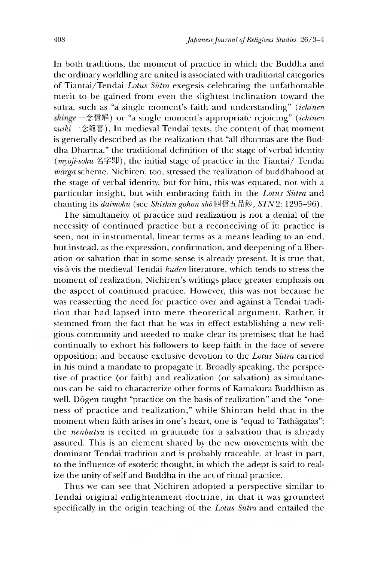In both traditions, the moment of practice in which the Buddha and the ordinary worldling are united is associated with traditional categories of Tiantai/Tendai *Lotus Sutra* exegesis celebrating the unfathomable merit to be gained from even the slightest inclination toward the sutra, such as "a single moment's faith and understanding" *(ichinen* 一念信解) or "a single moment's appropriate rejoicing" *(ichinen* zuiki 一念随喜). In medieval Tendai texts, the content of that moment is generally described as the realization that "all dharmas are the Buddha Dharma," the traditional definition of the stage of verbal identity  $(m\nu\delta\vec{p} - soku$  名字即), the initial stage of practice in the Tiantai/ Tendai *mārga* scheme. Nichiren, too, stressed the realization of buddhahood at the stage of verbal identity, but for him, this was equated, not with a particular insight, but with embracing faith in the *Lotus Sutra* and chanting its *daimoku* (see *Shishin gohon shd* 四信五品鈔,*STN2 :*1295-96).

The simultaneity of practice and realization is not a denial of the necessity of continued practice but a reconceiving of it: practice is seen, not in instrumental, linear terms as a means leading to an end, but instead, as the expression, confirmation, and deepening of a liberation or salvation that in some sense is already present. It is true that, vis-a-vis the medieval Tendai *kuden* literature, which tends to stress the moment of realization, Nichiren's writings place greater emphasis on the aspect of continued practice. However, this was not because he was reasserting the need for practice over and against a Tendai tradition that had lapsed into mere theoretical argument. Rather, it stemmed from the fact that he was in effect establishing a new religious community and needed to make clear its premises; that he had continually to exhort his followers to keep faith in the face of severe opposition; and because exclusive devotion to the *Lotus Sutra* carried in his mind a mandate to propagate it. Broadly speaking, the perspective of practice (or faith) and realization (or salvation) as simultaneous can be said to characterize other forms of Kamakura Buddhism as well. Dogen taught "practice on the basis of realization" and the "oneness of practice and realization," while Shinran held that in the moment when faith arises in one's heart, one is "equal to Tathagatas"; the *nenbutsu* is recited in gratitude for a salvation that is already assured. This is an element shared by the new movements with the dominant Tendai tradition and is probably traceable, at least in part, to the influence of esoteric thought, in which the adept is said to realize the unity of self and Buddha in the act of ritual practice.

Thus we can see that Nichiren adopted a perspective similar to Tendai original enlightenment doctrine, in that it was grounded specifically in the origin teaching of the *Lotus Sutra* and entailed the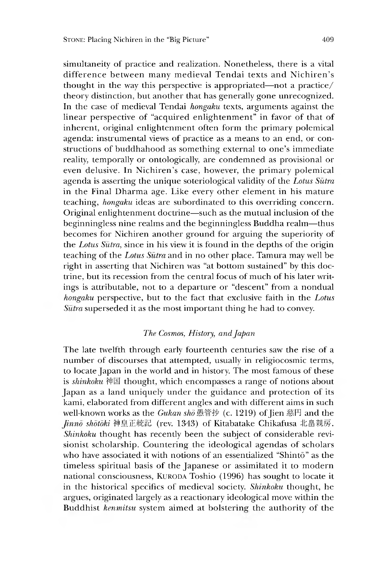simultaneity of practice and realization. Nonetheless, there is a vital difference between many medieval Tendai texts and Nichiren's thought in the way this perspective is appropriated—not a practice/ theory distinction, but another that has generally gone unrecognized. In the case of medieval Tendai *hongaku* texts, arguments against the linear perspective of "acquired enlightenment" in favor of that of inherent, original enlightenment often form the primary polemical agenda: instrumental views of practice as a means to an end, or constructions of buddhahood as something external to one's immediate reality, temporally or ontologically, are condemned as provisional or even delusive. In Nichiren's case, however, the primary polemical agenda is asserting the unique soteriological validity of the *Lotus Sutra* in the Final Dharma age. Like every other element in his mature teaching, *hongaku* ideas are subordinated to this overriding concern. Original enlightenment doctrine—such as the mutual inclusion of the beginningless nine realms and the beginningless Buddha realm—thus becomes for Nichiren another ground for arguing the superiority of the *Lotus Sutra,* since in his view it is found in the depths of the origin teaching of the *Lotus Sutra* and in no other place. Tamura may well be right in asserting that Nichiren was "at bottom sustained" by this doctrine, but its recession from the central focus of much of his later writings is attributable, not to a departure or "descent" from a nondual *hongaku* perspective, but to the fact that exclusive faith in the *Lotus Sutra* superseded it as the most important thing he had to convey.

## *The Cosmos, History, and Japan*

The late twelfth through early fourteenth centuries saw the rise of a number of discourses that attempted, usually in religiocosmic terms, to locate Japan in the world and in history. The most famous of these is *shinkoku* 神国 thought, which encompasses a range of notions about Japan as a land uniquely under the guidance and protection of its kami, elaborated from different angles and with different aims in such well-known works as the *Gukan sho* 愚管抄 (c. 1219) of Jien 慈円 and the *Jinno shotoki* 神皇正統記(rev. 1343) of Kitabatake Chikafusa 北畠親房. *Shinkoku* thought has recently been the subject of considerable revisionist scholarship. Countering the ideological agendas of scholars who have associated it with notions of an essentialized "Shint6" as the timeless spiritual basis of the Japanese or assimilated it to modern national consciousness, KURODA Toshio (1996) has sought to locate it in the historical specifics of medieval society. *Shinkoku* thought, he areues, originated largely as a reactionary ideological move within the Buddhist *kenmitsu* system aimed at bolstering the authority of the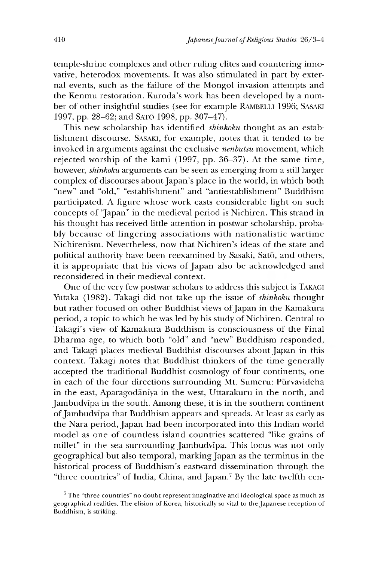temple-shrine complexes and other ruling elites and countering innovative, heterodox movements. It was also stimulated in part by external events, such as the failure of the Mongol invasion attempts and the Kenmu restoration. Kuroda's work has been developed by a number of other insightful studies (see for example RAMBELLI 1996; SASAKI 1997, pp. 28–62; and SATO 1998, pp. 307–47).

This new scholarship has identified *shinkoku* thought as an establishment discourse. Sasaki, for example, notes that it tended to be invoked in arguments against the exclusive *nenbutsu* movement, which rejected worship of the kami (1997, pp. 36-37). At the same time, however, *shinkoku* arguments can be seen as emerging from a still larger complex of discourses about Japan's place in the world, in which both "new" and "old," "establishment" and "antiestablishment" Buddhism participated. A figure whose work casts considerable light on such concepts of "Japan" in the medieval period is Nichiren. This strand in his thought has received little attention in postwar scholarship, probably because of lingering associations with nationalistic wartime Nichirenism. Nevertheless, now that Nichiren's ideas of the state and political authority have been reexamined by Sasaki, Sato, and others, it is appropriate that his views of Japan also be acknowledged and reconsidered in their medieval context.

One of the very few postwar scholars to address this subject is Takagi Yutaka (1982). Takagi did not take up the issue of *shinkoku* thought but rather focused on other Buddhist views of Japan in the Kamakura period, a topic to which he was led by his study of Nichiren. Central to Takagi's view of Kamakura Buddhism is consciousness of the Final Dharma age, to which both "old" and "new" Buddhism responded, and Takagi places medieval Buddhist discourses about Japan in this context. Takagi notes that Buddhist thinkers of the time generally accepted the traditional Buddhist cosmology of four continents, one in each of the four directions surrounding Mt. Sumeru: Pūrvavideha in the east, Aparagodaniya in the west, Uttarakuru in the north, and Jambudvipa in the south. Among these, it is in the southern continent of Jambudvipa that Buddhism appears and spreads. At least as early as the Nara period, Japan had been incorporated into this Indian world model as one of countless island countries scattered "like grains of millet" in the sea surrounding Jambudvipa. This locus was not only geographical but also temporal, marking Japan as the terminus in the historical process of Buddhism's eastward dissemination through the "three countries" of India, China, and Japan.7 By the late twelfth cen-

 $7$  The "three countries" no doubt represent imaginative and ideological space as much as geographical realities. The elision of Korea, historically so vital to the Japanese reception of Buddhism, is striking.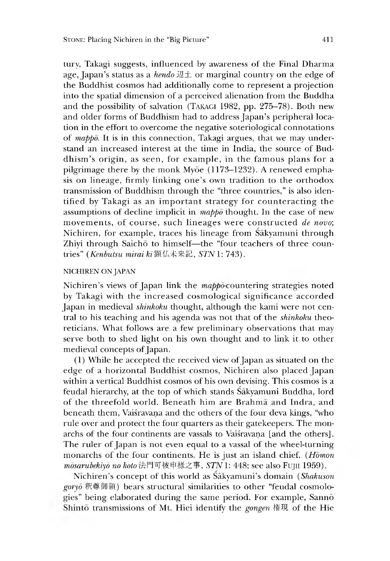tury, Takagi suggests, influenced by awareness of the Final Dharma age, Japan's status as a *hendo* 辺土 or marginal country on the edge of the Buddhist cosmos had additionally come to represent a projection into the spatial dimension of a perceived alienation from the Buddha and the possibility of salvation (TAKAGI 1982, pp. 275–78). Both new and older forms of Buddhism had to address Japan's peripheral location in the effort to overcome the negative soteriological connotations of *mappo*. It is in this connection, Takagi argues, that we may understand an increased interest at the time in India, the source of Buddhism's origin, as seen, for example, in the famous plans for a pilgrimage there by the monk Myōe (1173-1232). A renewed emphasis on lineage, firmly linking one's own tradition to the orthodox transmission of Buddhism through the "three countries," is also identified by Takagi as an important strategy for counteracting the assumptions of decline implicit in *mappo* thought. In the case of new movements, of course, such lineages were constructed *de novo;* Nichiren, for example, traces his lineage from Sakyamuni through Zhiyi through Saicho to himself—the "four teachers of three countries" (Kenbutsu mirai ki 顕仏未来記, STN 1: 743).

#### NICHIREN ON JAPAN

Nichiren's views of Japan link the *mappo-countcring* strategies noted by Takaei with the increased cosmological significance accorded Japan in medieval *shinkoku* thought, although the kami were not central to his teaching and his agenda was not that of the *shinkoku* theoreticians. What follows are a few preliminary observations that may serve both to shed light on his own thoueht and to link it to other medieval concepts of Japan.

(1)While he accepted the received view of Japan as situated on the edge of a horizontal Buddhist cosmos, Nichiren also placed Japan within a vertical Buddhist cosmos of his own devising. This cosmos is a feudal hierarchy, at the top of which stands Sakyamuni Buddha, lord of the threefold world. Beneath him are Brahma and Indra, and beneath them, Vaisravana and the others of the four deva kings, "who rule over and protect the four quarters as their gatekeepers. The monarchs of the four continents are vassals to Vaisravana [and the others]. The ruler of Japan is not even equal to a vassal of the wheel-turning monarchs of the four continents. He is just an island chief. *{Homon*  $m\bar{o}$ sarubekiyō no koto法門可被申様之事, STN<sup>1</sup>: 448; see also FUJII 1959).

Nichiren's concept of this world as Sakyamuni's domain (Shakuson *goryo* 釈尊御領)bears structural similarities to other "feudal cosmologies" being elaborated during the same period. For example, Sanno ^hmto transmissions of Mt. Hiei identify the *gongen* 権現 of the Hie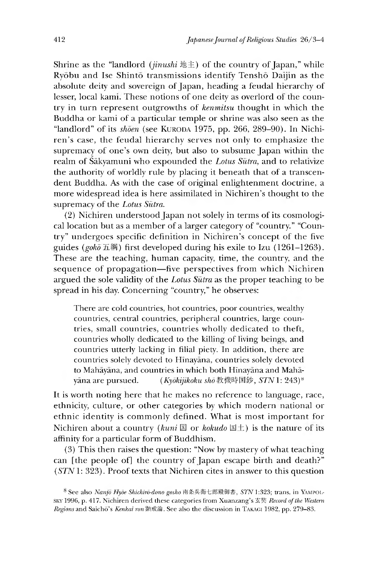Shrine as the "landlord *{jinushi* 地主) of the country of Japan," while Ryobu and Ise Shinto transmissions identify Tensho Daijm as the absolute deity and sovereign of Japan, heading a feudal hierarchy of lesser, local kami. These notions of one deity as overlord of the country in turn represent outgrowths of *kenmitsu* thought in which the Buddha or kami of a particular temple or shrine was also seen as the "landlord" of its *shoen* (see KURODA 1975, pp. 266, 289-90). In Nichiren's case, the feudal hierarchy serves not only to emphasize the supremacy of one's own deity, but also to subsume Japan within the realm of Sakyamuni who expounded the *Lotus Sutra,* and to relativize the authority of worldly rule by placing it beneath that of a transcendent Buddha. As with the case of original enlightenment doctrine, a more widespread idea is here assimilated in Nichiren's thought to the supremacy of the *Lotus Sutra.*

(2) Nichiren understood Japan not solely in terms of its cosmological location but as a member of a larger category of "country." "Country" undergoes specific definition in Nicniren's concept of the five guides ( $gok\bar{o} \ \bar{L}$ 綱) first developed during his exile to Izu (1261-1263). These are the teaching, human capacity, time, the country, and the sequence of propagation—five perspectives from which Nichiren argued the sole validity of the *Lotus Sutra* as the proper teaching to be spread in his day. Concerning "country," he observes:

There are cold countries, hot countries, poor countries, wealthy countries, central countries, peripheral countries, large countries, small countries, countries wholly dedicated to theft, countries wholly dedicated to the killing of living beings, and countries utterly lacking in filial piety. In addition, there are countries solely devoted to Hinayana, countries solely devoted to Mahayana, and countries in which both Hinayana and Mahayāna are pursued. (Kyōkijikoku shō教機時国鈔, STN 1:243)<sup>8</sup>

It is worth noting here that he makes no reference to language, race, ethnicity, culture, or other categories by which modern national or ethnic identity is commonly defined. What is most important for Nichiren about a country *(kuni* 国 or *kokudo* 国土) is the nature of its affinity for a particular form of Buddhism.

(3) This then raises the question: "Now by mastery of what teaching can [the people of] the country of Japan escape birth and death?" *(STN 1:*323). Proof texts that Nichiren cites in answer to this question

<sup>&</sup>lt;sup>8</sup> See also *Nanjō Hyōe Shichirō-dono gosho* 南条兵衛七郎殿御書, STN 1:323; trans. in YAMPOLsky 1996, p. 417. Nicmren derived these categories from Xuanzang's 玄奘 *Record of the Western*  $$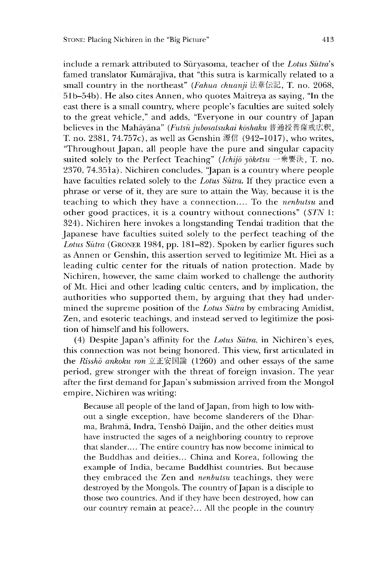include a remark attributed to Suryasoma, teacher of the *Lotus Sutra's* famed translator Kumārajīva, that "this sutra is karmically related to a small country in the northeast" *(Fahua chuanji*、法華伝言己,T. no. 2068, 51b-54b). He also cites Annen, who quotes Maitreya as saying, "In the east there is a small country, where people's faculties are suited solely to the great vehicle," and adds, "Everyone in our country of Japan believes in the Mahayana" (Futsu jubosatsukai koshaku 普通授菩薩戒広釈, T. no. 2381, 74.757c), as well as Genshin 源信  $(942-1017)$ , who writes, "Throughout Japan,all people have the pure and singular capacity suited solely to the Perfect Teaching" (Ichijo yoketsu 一乗要決, T. no. 2370, 74.35ta). Nichiren concludes, "Japan is a country where people have faculties related solely to the *Lotus Sutra.* It they practice even a phrase or verse of it, they are sure to attain the Way, because it is the teaching to which they have a connection.... To the *nenbutsu* and other good practices, it is a country without connections" *(STN* 1: 324). Nichiren here invokes a longstanding Tendai tradition that the Japanese have faculties suited solely to the perfect teaching of the Lotus Sūtra (GRONER 1984, pp. 181–82). Spoken by earlier figures such as Annen or Genshin, this assertion served to legitimize Mt. Hiei as a leading cultic center for the rituals of nation protection. Made by Nichiren, however, the same claim worked to challenge the authority of Mt. Hiei and other leading cultic centers, and by implication, the authorities who supported them, by arguing that they had undermined the supreme position of the *Lotus Sutra* by embracing Amidist, Zen, and esoteric teachings, and instead served to legitimize the position of himself and his followers.

(4) Despite Japan's affinity for the *Lotus Sutra*, in Nichiren's eyes, this connection was not being honored. This view, first articulated in the *Rissho ankoku ron* 立正安国論(1260) and other essays of the same period, erew stronger with the threat of foreign invasion. The year after the first demand for Japan's submission arrived from the Mongol empire, Nichiren was writing:

Because all people of the land of Japan, from high to low without a single exception, have become slanderers of the Dharma, Brahmā, Indra, Tenshō Daijin, and the other deities must have instructed the sages of a neighboring country to reprove that slander.... The entire country has now become inimical to the Buddhas and deities... China and Korea, following the example of India, became Buddhist countries. But because they embraced the Zen and *nenbutsu* teachings, they were destroyed by the Mongols. The country of Japan is a disciple to those two countries. And if they have been destroyed, how can our country remain at peace?... All the people in the country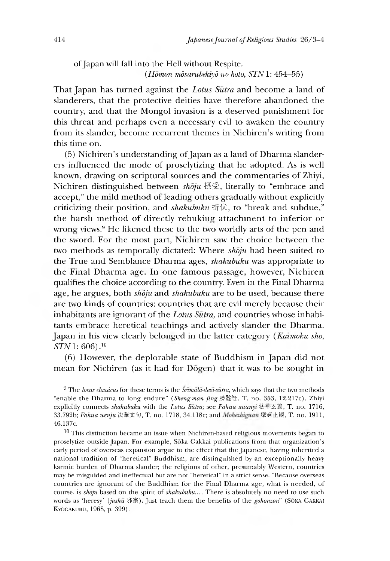of Japan will fall into the Hell without Respite. *(Homon mdsarubekiyd no koto, STN 1:*454-55)

That Japan has turned against the *Lotus Sutra* and become a land of slanderers, that the protective deities have therefore abandoned the country, and that the Mongol invasion is a deserved punishment for this threat and perhaps even a necessary evil to awaken the country from its slander, become recurrent themes in Nichiren's writing from this time on.

(5) Nichiren's understanding of Japan as a land of Dharma slanderers influenced the mode of proselytizing that he adopted. As is well known, drawing on scriptural sources and the commentaries of Zhiyi, Nichiren distinguished between *shoju* 摂受, literally to "embrace and accept," the mild method of leading others gradually without explicitly criticizing their position, and *shakubuku* 折伏, to "break and subdue," the harsh method of directly rebuking attachment to inferior or wrong views.<sup>9</sup> He likened these to the two worldly arts of the pen and the sword. For the most part, Nichiren saw the choice between the two methods as temporally dictated: Where *shoju* had been suited to the True and Semblance Dharma ages, *shakubuku* was appropriate to the Final Dharma age. In one famous passage, however, Nichiren qualifies the choice according to the country. Even in the Final Dharma age, he argues, both *shoju* and *shakubuku* are to be used, because there are two kinds of countries: countries that are evil merely because their inhabitants are ignorant of the *Lotus Sutra,* and countries whose inhabitants embrace heretical teachings and actively slander the Dharma. Japan in his view clearly belonged in the latter category *(Kaimoku shd, STN I:* 606).10

(6) However, the deplorable state of Buddhism in Japan did not mean for Nichiren (as it had for Dogen) that it was to be sought in

<sup>9</sup> The *locus classicus* for these terms is the *Śrīmālā-devī-sūtra*, which says that the two methods "enable the Dharma to long endure" *(Sheng-man jing 勝蔓経,* T. no. 353, 12.217c). Zhiyi explicitly connects *shakubuku* with the *Lotus Sūtra*; see *Fahua xuanyi* 法華玄義, T. no. 1716, 33.792b; *Fahua wenju* 法華文句, T. no. 1718, 34.118c; and *Mohezhiguan* 摩訶止観, T. no. 1911, 46.137c.

 $10$  This distinction became an issue when Nichiren-based religious movements began to proselytize outside Japan. For example, Soka Gakkai publications from that organization's early period of overseas expansion argue to the effect that the Japanese, having inherited a national tradition of "heretical" Buddhism, are distinguished by an exceptionally heavy karmic burden of Dharma slander; the religions of other, presumably Western, countries may be misguided and ineffectual but are not "heretical" in a strict sense. "Because overseas countries are ignorant of the Buddhism for the Final Dharma age, what is needed, of course, is *shoju* based on the spirit of *shakubuku....* There is absolutely no need to use such words as 'heresy' *(jashu* 邪宗). Just teach them the benefits of the *gohonzon*" (Sōka GAKKAI Kyogakubu, 1968, p. 399).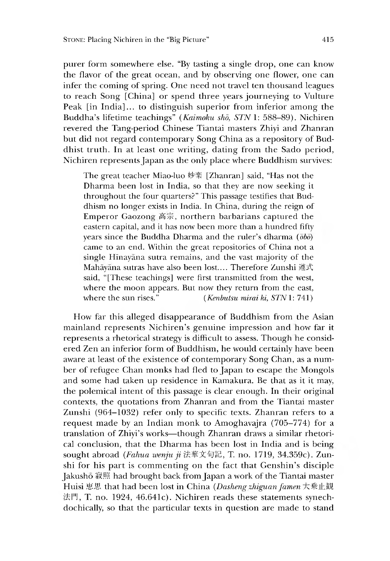purer form somewhere else. "By tasting a single drop, one can know the flavor of the great ocean, and by observing one flower, one can infer the coming of spring. One need not travel ten thousand leagues to reach Song [China] or spend three years journeying to Vulture Peak [in India]... to distinguish superior from inferior among the Buddha's lifetime teachings" *(Kaimoku shd, STN* 1:588-89). Nichiren revered the Tang-period Chinese Tiantai masters Zhiyi and Zhanran but did not regard contemporary Song China as a repository of Buddhist truth. In at least one writing, dating from the Sado period, Nichiren represents Japan as the only place where Buddhism survives:

The great teacher Miao-luo 妙楽 [Zhanran] said, "Has not the Dharma been lost in India, so that they are now seeking it throughout the four quarters?" This passage testifies that Buddhism no longer exists in India. In Cnina, during the reign of Emperor Gaozong 高宗, northern barbarians captured the eastern capital, and it has now been more than a hundred fifty years since the Buddha Dharma and the ruler's dharma *(obo)* came to an end. Within the great repositories of China not a single Hinayana sutra remains, and the vast majority of the Mahayana sutras have also been lost.... Therefore Zunshi 遵式 said, "[These teachings] were first transmitted from the west, where the moon appears. But now they return from the east, where the sun rises." *(Kenbutsu mirai ki, STN* 1: 741)

How far this alleged disappearance of Buddhism from the Asian mainland represents Nichiren's genuine impression and how far it represents a rhetorical strategy is difficult to assess. Though he considered Zen an inferior form of Buddhism, he would certainly have been aware at least of the existence of contemporary Song Chan, as a number of refugee Chan monks had fled to Japan to escape the Mongols and some had taken up residence in Kamakura. Be that as it it may, the polemical intent of this passage is clear enough. In their original contexts, the quotations from Zhanran and from the Tiantai master Zunshi (964-1032) refer only to specific texts. Zhanran refers to a request made by an Indian monk to Amoghavajra (705-774) for a translation of Zhiyi's works—though Zhanran draws a similar rhetorical conclusion, that the Dharma has been lost in India and is being sought abroad *{Fahua wenju ji 法華文句記,*T. no. 1719 34.359c). Zunshi for his part is commenting on the fact that Genshin's disciple Jakushō 寂照 had brought back from Japan a work of the Tiantai master Huisi 恵思 that had been lost in China (Dasheng zhiguan famen 大乗止観 法門, T. no. 1924, 46.641c). Nichiren reads these statements synechdochically, so that the particular texts in question are made to stand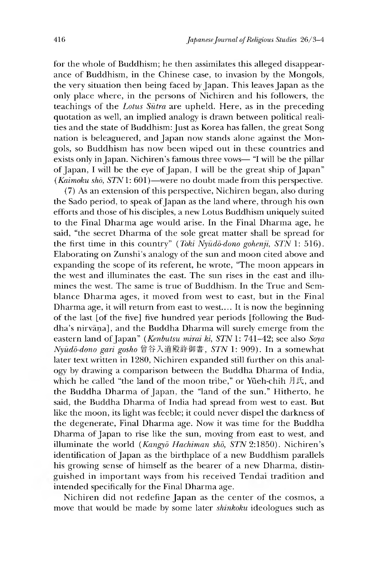for the whole of Buddhism; he then assimilates this alleged disappearance of Buddhism, in the Chinese case, to invasion by the Mongols, the very situation then being faced by Japan. Ihis leaves Japan as the only place where, in the persons of Nichiren and his followers, the teachings of the *Lotus Sutra* are upheld. Here, as in the preceding quotation as well, an implied analogy is drawn between political realities and the state of Buddhism: Just as Korea has fallen, the great Song nation is beleaguered, and Japan now stands alone against the Mongols, so Buddhism has now been wiped out in these countries and exists only in Japan. Nichiren's famous three vows— "I will be the pillar of Japan, I will be the eye of Japan, I will be the great ship of Japan" *(Kaimoku shō, STN1:* 601)—were no doubt made from this perspective.

(7) As an extension of this perspective, Nichiren began, also during the Sado period, to speak of Japan as the land where, through his own efforts and those of his disciples, a new Lotus Buddhism uniquely suited to the Final Dharma age would arise. In the Final Dharma age, he said, "the secret Dharma of the sole great matter shall be spread for the first time in this country" (Toki Nyudō-dono gohenji, STN 1: 516). Elaborating on Zunshi's analogy of the sun and moon cited above and expanding the scope of its referent, he wrote, "The moon appears in the west and illuminates the east. The sun rises in the east and illumines the west. The same is true of Buddhism. In the True and Semblance Dharma ages, it moved from west to east, but in the Final Dharma age, it will return from east to west.... It is now the beginning of the last [of the five] five hundred year periods [following the Buddha's nirvana], and the Buddha Dharma will surely emerge from the eastern land of Japan" *(Kenbutsu mirai ki, STN 1 :*741-42; see also *Soya Nyudd-dono gari gosho* 曾谷入道殿許御書*,STN* 1 :909). In a somewhat later text written in 1280, Nichiren expanded still further on this analogy by drawing a comparison between the Buddha Dharma of India, which he called "the land of the moon tribe," or Yüeh-chih  $\overline{A}$  , and the Buddha Dharma of Japan, the "land of the sun." Hitherto, he said, the Buddha Dharma of India had spread from west to east. But like the moon, its light was feeble; it could never dispel the darkness of the degenerate, Final Dharma age. Now it was time for the Buddha Dharma of Japan to rise like the sun, moving from east to west, and illuminate the world *(Kangyō Hachiman shō, STN* 2:1850). Nichiren's identification of Japan as the birthplace of a new Buddhism parallels his growing sense of himself as the bearer of a new Dharma, distinguished in important ways from his received Tendai tradition and intended specifically for the Final Dharma age.

Nichiren did not redefine Japan as the center of the cosmos, a move that would be made by some later *shinkoku* ideologues such as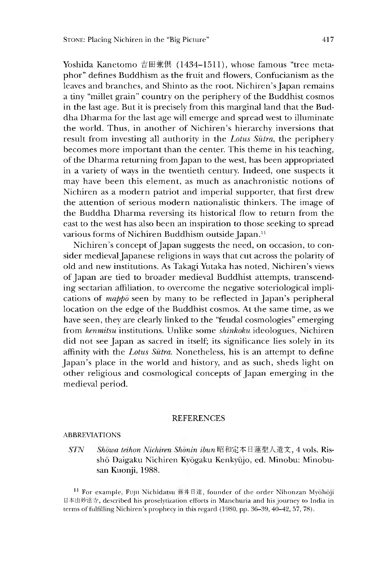Yoshida Kanetomo 吉田兼倶 (1434-1511), whose famous "tree metaphor" defines Buddhism as the fruit and flowers, Confucianism as the leaves and branches, and Shinto as the root. Nichiren's Japan remains a tiny "millet erain" country on the periphery of the Buddhist cosmos in the last age. But it is precisely from this marginal land that the Buddha Dharma for the last age will emerge and spread west to illuminate the world. Thus, in another of Nichiren's hierarchy inversions that result from investing all authority in the *Lotus Sutra,* the periphery becomes more important than the center. This theme in his teaching, of the Dharma returning from Japan to the west, has been appropriated in a variety of ways in the twentieth century. Indeed, one suspects it may have been this element, as much as anachronistic notions of Nichiren as a modern patriot and imperial supporter, that first drew the attention of serious modern nationalistic thinkers. The ima^e of the Buddha Dharma reversing its historical flow to return from the east to the west has also been an inspiration to those seeking to spread various forms of Nichiren Buddhism outside Japan.<sup>11</sup>

Nichiren's concept of Japan suggests the need, on occasion, to consider medieval Japanese religions in ways that cut across the polarity of old and new institutions. As Takagi Yutaka has noted, Nichiren's views of Japan are tied to broader medieval Buddnist attempts, transcending sectarian affiliation, to overcome the negative soteriological implications of *mappo* seen by many to be reflected in Japan's peripheral location on the edge of the Buddhist cosmos. At the same time, as we have seen, they are clearly linked to the "feudal cosmologies" emerging from *kenmitsu* institutions. Unlike some *shinkoku* ideologues, Nichiren did not see Japan as sacred in itself; its significance lies solely in its affinity with the *Lotus Sutra.* Nonetheless, his is an attempt to define Japan's place in the world and history, and as such, sheds light on other religious and cosmological concepts of Japan emerging in the medieval period.

### REFERENCES

#### ABBREVIATIONS

*STN Showa teihon Nichiren Shonin ibun* 本日蓮聖 文,4 vols. Risshō Daigaku Nichiren Kyōgaku Kenkyūjo, ed. Minobu: Minobusan Kuonji, 1988.

<sup>11</sup> For example, Fujii Nichidatsu 藤井日達, founder of the order Nihonzan Myōhōji 日本山妙法寺, described his proselytization efforts in Manchuria and his journey to India in terms of fulfilling Nichiren's prophecy in this regard (1980, pp. 36-39, 40-42, 57, 78).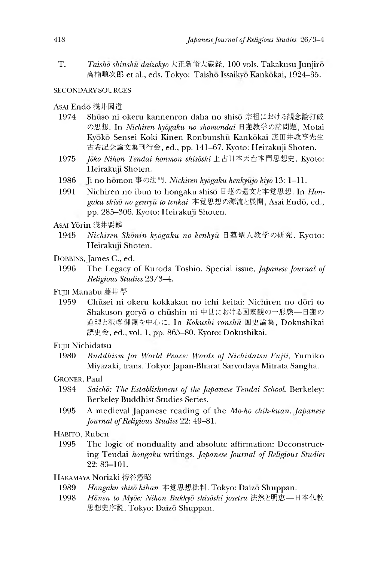T. Taisho shinshu daizōkyō 大正新脩大蔵経, 100 vols. Takakusu Junjirō 高楠順次郎 et al., eds. Tokyo: Taishō Issaikyō Kankōkai, 1924-35.

#### SECONDARY SOURCES

Asai Endo浅井圓道

- 1974 Shuso ni okeru kannenron daha no shiso 宗祖における観念論打破 の思想. In *Nichiren kyōgaku no shomondai* 日蓮教学の諸問題, Motai Kyōkō Sensei Koki Kinen Ronbunshū Kankōkai 茂田井教亨先生 古希記念論文集刊行会 ed., pp. 141-67. Kyoto: Heirakuji Shoten.
- 1975 *Joko Nihon Tendai honmon shisdshi* 日本天台本門思想史. Kyoto: Heirakuji Shoten.
- 1986 **Ji no hōmon 事の法門.** *Nichiren kyōgaku kenkyūjo kiyō* 13: 1–11.
- 1991 Nichiren no ibun to hongaku shisō 日蓮の遺文と本覚思想. In *Hon*gaku shiso no genryu to tenkai 本覚思想の源流と展開, Asai Endo, ed., pp. 285-306. Kyoto: Heirakuji Shoten.

Asai Yorin 浅井要麟

- 1945 *Nichiren Shōnin kyōgaku no kenkyū* 日蓮聖人教学の研究. Kyoto: Heirakuii shoten.
- DOBBINS, James C., ed.
	- 1996 The Legacy of Kuroda Toshio. Special issue, *Japanese Journal of Religious Studies* 23/3-4.
- Fujii Manabu 藤井學
	- 1959 Chusei ni okeru kokkakan no ichi keitai: Nichiren no dori to Shakuson goryō o chūshin ni 中世における国家観の一形態––日蓮の 道理と釈尊御領を中心に. In *Kokushi ronshū* 国史論集, Dokushikai 読史会, ed., vol. 1, pp. 865-80. Kyoto: Dokushikai.

## Fujii Nichidatsu

1980 *Buddhism for World Peace: Words of Nichidatsu Fujii,* Yumiko Miyazaki, trans. Tokyo: Japan-Bharat Sarvodaya Mitrata Sangha.

## Groner, Paul

- 1984 *Saicho: The Establishment of the Japanese Tendai School.* Berkeley: Berkeley Buddhist Studies Series.
- 1995 A medieval Japanese reading of the *Mo-ho chih-kuan. Japanese Journal of Religious Studies* 22: 49-81.

HABITO, Ruben

1995 The logic of nonduality and absolute affirmation: Deconstructing Tendai *hongaku* writings. *Japanese Journal of Religious Studies* 22: 83-101.

#### Hakamaya Noriaki 袴谷憲昭

- 1989 *Hongaku shiso hihan* 本覚思 批判. Tokyo: Daizo Shuppan.
- 1998 Honen to Myoe: Nihon Bukkyo shisoshi josetsu 法然と明恵––日本仏教 思想史序説. Tokyo: Daizō Shuppan.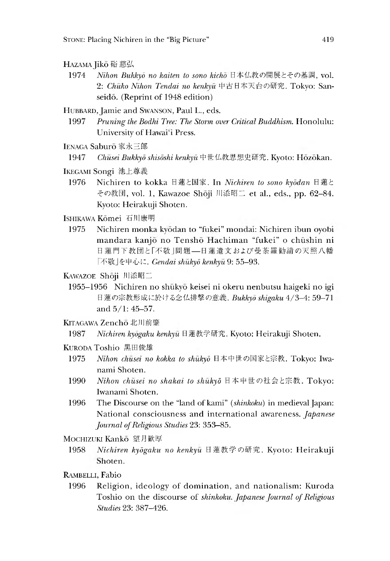### HAZAMA Jikō 硲 慈弘

- 1974 *Nihon Bukkyo no kaiten to sono kicho* 日本仏教の開展とその基調, vol. 2: *Chuko Nihon Tendai no kenkyu* 中古日本天台の研究. Tokyo: Sanseido. (Reprint of 1948 edition)
- HUBBARD, Jamie and SWANSON, Paul L., eds.
	- 1997 *Pruning the Bodhi Tree: The Storm over Critical Buddhism.* Honolulu: University of Hawai'i Press.
- IENAGA Saburō 家永三郎
	- 1947 *Chusei Bukkyd shisdshi kenkyu* 世仏教思想史研究. Kyoto: Hozokan.
- IKEGAMI Songi 池上尊義
	- 1976 Nichiren to kokka 蓮と国家. In *Nichiren to sono kyddan* 蓮と その教団, vol. 1, Kawazoe Shōji 川添昭二 et al., eds., pp. 62-84. Kyoto: Heirakuji Shoten.

#### ISHIKAWA Komei 石川康明

- 1975 Nichiren monka kyodan to "fukei" mondai: Nichiren ibun oyobi mandara kanjo no Tensho Hachiman "fukei" o chushin ni 日蓮門下教団と「不敬」問題––日蓮遺文および曼荼羅勧請の天照八幡 「不敬」を中 *.Gendai shukyd kenkyu* 9: 55-93.
- Kawazoe Shoji 川添昭ニ
	- 1955–1956 Nichiren no shūkyō keisei ni okeru nenbutsu haigeki no igi 日蓮の宗教形成に於ける念仏排撃の意義. Bukkyō shigaku 4/3-4: 59-71 and 5/1: 45-57.
- KITAGAWA Zenchō 北川前肇
	- 1987 *Nichiren kyōgaku kenkyū* 日蓮教学研究. Kyoto: Heirakuji Shoten.
- KURODA Toshio 黒田俊雄
	- 1975 *Nihon chūsei no kokka to shūkyō* 日本中世の国家と宗教. Tokyo: Iwanami Shoten.
	- 1990 *Nihon chusei no shakai to shukyo* 日本中世の社会と宗教. Tokyo: Iwanami Shoten.
	- 1996 The Discourse on the "land of kami" *{shinkoku)* in medieval Japan: National consciousness and international awareness. *Japanese Journal of Religious Studies* 23: 353-85.

#### Mochizuki Kanko 望月歓厚

- 1958 *Nichiren kydgaku no kenkyu* 曰蓮 研究. Kyoto: Heirakuji shoten.
- Rambelli, Fabio
	- 1996 Religion, ideology of domination, and nationalism: Kuroda Toshio on the discourse of *shinkoku. Japanese Journal of Religious Studies* 23: 387-426.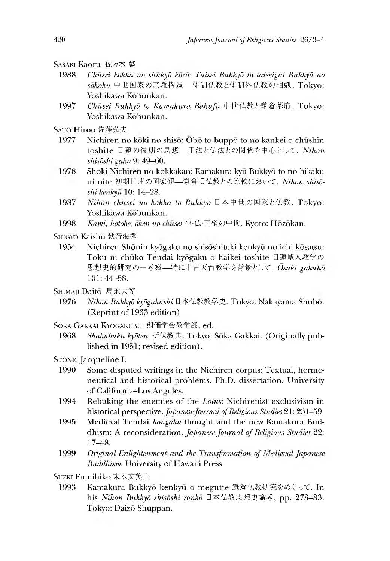SASAKI Kaoru 佐々木 馨

- 1988 *Chusei kokka no shukyd kozo: Taisei Bukkyd to taiseigai Bukkyd no*  $s\bar{o}koku申世国家の宗教構造––体制仏教と体制外仏教の相剋. Tokyo:$ Yoshikawa Kobunkan.
- 1997 *Chusei Bukkyd to Kamakura Bakufu* 世仏教と鎌 幕府. Tokyo: Yoshikawa Kōbunkan.

SATŌ Hiroo 佐藤弘夫

- 1977 Nichiren no koki no shiso: Obo to buppo to no kankei o chushin toshite 日蓮の後期の思想––王法と仏法との関係を中心として. Nihon *shisdshi gaku* 9: 49-60.
- 1978 Shoki Nichiren no kokkakan: Kamakura kyu BuKkyo to no hikaku ni oite 初期日蓮の国家観––鎌倉旧仏教との比較において. Nihon shisō*shi kenkyu* 10:14-28.
- 1987 Nihon chusei no kokka to Bukkyo 日本中世の国家と仏教. Tokyo: Yoshikawa Kobunkan.
- 1998 *Kami, hotoke, oken no chusei* 神·仏·王権の中世. Kyoto: Hozokan.

SHIGYO Kaishū 執行海秀

1954 Nichiren Shōnin kyōgaku no shisōshiteki kenkyū no ichi kōsatsu: Toku ni chūko Tendai kyogaku o haikei toshite 日蓮聖人教学の 想史 研究の一考察 特に中古天台教学を背景として*. dsaki gakuho* 101: 44-58.

SHIMAJI Daito 島地大等

1976 *Nihon Bukkyd kydgakushi* 日本仏教教学史. Tokyo: Nakayama Shobo. (Reprint of 1933 edition)

Soka Gakkai Kyogakubu 創価学会教学部,ed.

1968 Shakubuku kyōten 折伏教典. Tokyo: Sōka Gakkai. (Originally published in 1951; revised edition).

Stone, Jacqueline I.

- 1990 Some disputed writings in the Nichiren corpus: Textual, hermeneutical and historical problems. Ph.D. dissertation. University of California-Los Angeles.
- 1994 Rebuking the enemies of the *Lotus:* Nichirenist exclusivism in historical perspective. *Japanese Journal of Religious Studies* 21:231-59.
- 1995 Medieval Tendai *hongaku* thought and the new Kamakura Buddhism: A reconsideration. *Japanese Journal of Religious Studies* 22: 17-48.
- 1999 *Original Enlightenment and the Transformation of Medieval Japanese Buddhism.* University of Hawai'i Press.

Sueki Fumihiko 末木文美士

1993 Kamakura Bukkyo kenkyu o megutte 倉仏教研究をめぐって. In his *Nihon Bukkyō shisōshi ronkō* 日本仏教思想史論考, pp. 273-83. Tokyo: Daizo Shuppan.